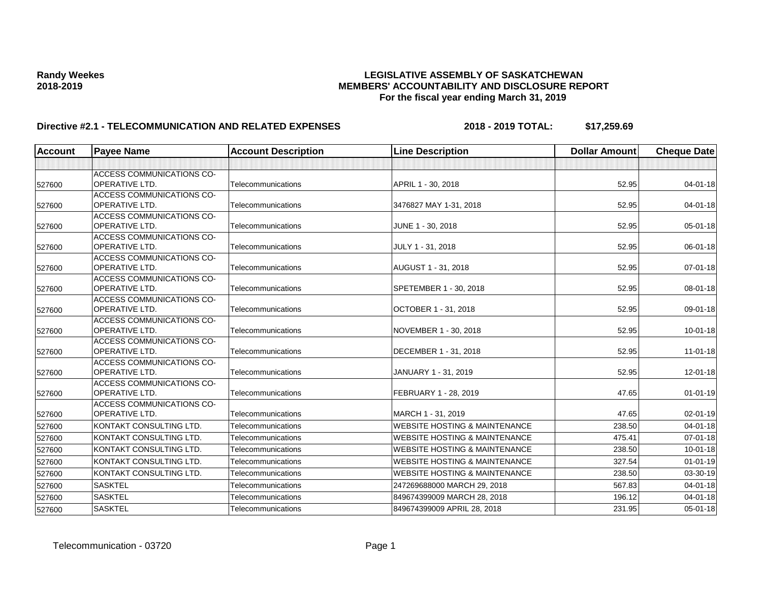| <b>Account</b> | <b>Payee Name</b>                                         | <b>Account Description</b> | <b>Line Description</b>                  | <b>Dollar Amount</b> | <b>Cheque Date</b> |
|----------------|-----------------------------------------------------------|----------------------------|------------------------------------------|----------------------|--------------------|
|                |                                                           |                            |                                          |                      |                    |
| 527600         | <b>ACCESS COMMUNICATIONS CO-</b><br><b>OPERATIVE LTD.</b> | Telecommunications         | APRIL 1 - 30, 2018                       | 52.95                | $04 - 01 - 18$     |
| 527600         | <b>ACCESS COMMUNICATIONS CO-</b><br><b>OPERATIVE LTD.</b> | Telecommunications         | 3476827 MAY 1-31, 2018                   | 52.95                | $04 - 01 - 18$     |
| 527600         | <b>ACCESS COMMUNICATIONS CO-</b><br><b>OPERATIVE LTD.</b> | Telecommunications         | JUNE 1 - 30, 2018                        | 52.95                | $05 - 01 - 18$     |
| 527600         | <b>ACCESS COMMUNICATIONS CO-</b><br><b>OPERATIVE LTD.</b> | Telecommunications         | JULY 1 - 31, 2018                        | 52.95                | 06-01-18           |
| 527600         | <b>ACCESS COMMUNICATIONS CO-</b><br><b>OPERATIVE LTD.</b> | Telecommunications         | AUGUST 1 - 31, 2018                      | 52.95                | $07 - 01 - 18$     |
| 527600         | <b>ACCESS COMMUNICATIONS CO-</b><br><b>OPERATIVE LTD.</b> | Telecommunications         | SPETEMBER 1 - 30, 2018                   | 52.95                | 08-01-18           |
| 527600         | <b>ACCESS COMMUNICATIONS CO-</b><br><b>OPERATIVE LTD.</b> | Telecommunications         | OCTOBER 1 - 31, 2018                     | 52.95                | 09-01-18           |
| 527600         | <b>ACCESS COMMUNICATIONS CO-</b><br><b>OPERATIVE LTD.</b> | Telecommunications         | NOVEMBER 1 - 30, 2018                    | 52.95                | $10 - 01 - 18$     |
| 527600         | <b>ACCESS COMMUNICATIONS CO-</b><br>OPERATIVE LTD.        | Telecommunications         | DECEMBER 1 - 31, 2018                    | 52.95                | $11-01-18$         |
| 527600         | <b>ACCESS COMMUNICATIONS CO-</b><br><b>OPERATIVE LTD.</b> | Telecommunications         | JANUARY 1 - 31, 2019                     | 52.95                | 12-01-18           |
| 527600         | <b>ACCESS COMMUNICATIONS CO-</b><br><b>OPERATIVE LTD.</b> | Telecommunications         | FEBRUARY 1 - 28, 2019                    | 47.65                | $01 - 01 - 19$     |
| 527600         | <b>ACCESS COMMUNICATIONS CO-</b><br><b>OPERATIVE LTD.</b> | Telecommunications         | MARCH 1 - 31, 2019                       | 47.65                | $02 - 01 - 19$     |
| 527600         | KONTAKT CONSULTING LTD.                                   | Telecommunications         | <b>WEBSITE HOSTING &amp; MAINTENANCE</b> | 238.50               | $04 - 01 - 18$     |
| 527600         | KONTAKT CONSULTING LTD.                                   | Telecommunications         | <b>WEBSITE HOSTING &amp; MAINTENANCE</b> | 475.41               | $07 - 01 - 18$     |
| 527600         | KONTAKT CONSULTING LTD.                                   | Telecommunications         | <b>WEBSITE HOSTING &amp; MAINTENANCE</b> | 238.50               | $10 - 01 - 18$     |
| 527600         | KONTAKT CONSULTING LTD.                                   | Telecommunications         | <b>WEBSITE HOSTING &amp; MAINTENANCE</b> | 327.54               | $01 - 01 - 19$     |
| 527600         | KONTAKT CONSULTING LTD.                                   | Telecommunications         | <b>WEBSITE HOSTING &amp; MAINTENANCE</b> | 238.50               | 03-30-19           |
| 527600         | <b>SASKTEL</b>                                            | Telecommunications         | 247269688000 MARCH 29, 2018              | 567.83               | $04 - 01 - 18$     |
| 527600         | <b>SASKTEL</b>                                            | Telecommunications         | 849674399009 MARCH 28, 2018              | 196.12               | $04 - 01 - 18$     |
| 527600         | <b>SASKTEL</b>                                            | Telecommunications         | 849674399009 APRIL 28, 2018              | 231.95               | 05-01-18           |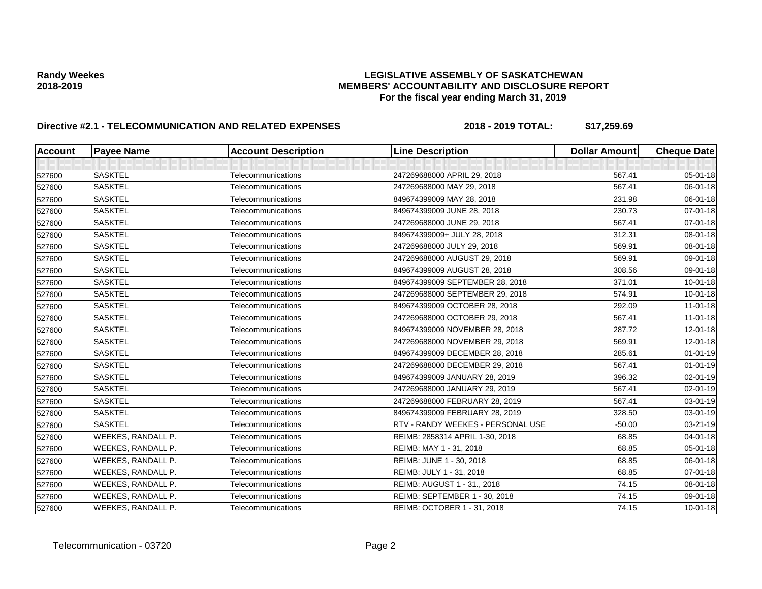| <b>Account</b> | <b>Payee Name</b>  | <b>Account Description</b> | <b>Line Description</b>           | <b>Dollar Amount</b> | <b>Cheque Date</b> |
|----------------|--------------------|----------------------------|-----------------------------------|----------------------|--------------------|
|                |                    |                            |                                   |                      |                    |
| 527600         | <b>SASKTEL</b>     | Telecommunications         | 247269688000 APRIL 29, 2018       | 567.41               | 05-01-18           |
| 527600         | <b>SASKTEL</b>     | Telecommunications         | 247269688000 MAY 29, 2018         | 567.41               | 06-01-18           |
| 527600         | <b>SASKTEL</b>     | Telecommunications         | 849674399009 MAY 28, 2018         | 231.98               | 06-01-18           |
| 527600         | <b>SASKTEL</b>     | Telecommunications         | 849674399009 JUNE 28, 2018        | 230.73               | $07 - 01 - 18$     |
| 527600         | <b>SASKTEL</b>     | Telecommunications         | 247269688000 JUNE 29, 2018        | 567.41               | 07-01-18           |
| 527600         | <b>SASKTEL</b>     | Telecommunications         | 849674399009+ JULY 28, 2018       | 312.31               | 08-01-18           |
| 527600         | <b>SASKTEL</b>     | Telecommunications         | 247269688000 JULY 29, 2018        | 569.91               | 08-01-18           |
| 527600         | <b>SASKTEL</b>     | Telecommunications         | 247269688000 AUGUST 29, 2018      | 569.91               | 09-01-18           |
| 527600         | <b>SASKTEL</b>     | Telecommunications         | 849674399009 AUGUST 28, 2018      | 308.56               | 09-01-18           |
| 527600         | <b>SASKTEL</b>     | Telecommunications         | 849674399009 SEPTEMBER 28, 2018   | 371.01               | $10 - 01 - 18$     |
| 527600         | <b>SASKTEL</b>     | Telecommunications         | 247269688000 SEPTEMBER 29, 2018   | 574.91               | 10-01-18           |
| 527600         | <b>SASKTEL</b>     | Telecommunications         | 849674399009 OCTOBER 28, 2018     | 292.09               | $11 - 01 - 18$     |
| 527600         | <b>SASKTEL</b>     | Telecommunications         | 247269688000 OCTOBER 29, 2018     | 567.41               | $11 - 01 - 18$     |
| 527600         | <b>SASKTEL</b>     | Telecommunications         | 849674399009 NOVEMBER 28, 2018    | 287.72               | $12 - 01 - 18$     |
| 527600         | <b>SASKTEL</b>     | Telecommunications         | 247269688000 NOVEMBER 29, 2018    | 569.91               | 12-01-18           |
| 527600         | <b>SASKTEL</b>     | Telecommunications         | 849674399009 DECEMBER 28, 2018    | 285.61               | $01 - 01 - 19$     |
| 527600         | <b>SASKTEL</b>     | Telecommunications         | 247269688000 DECEMBER 29, 2018    | 567.41               | $01 - 01 - 19$     |
| 527600         | <b>SASKTEL</b>     | Telecommunications         | 849674399009 JANUARY 28, 2019     | 396.32               | 02-01-19           |
| 527600         | <b>SASKTEL</b>     | Telecommunications         | 247269688000 JANUARY 29, 2019     | 567.41               | 02-01-19           |
| 527600         | <b>SASKTEL</b>     | Telecommunications         | 247269688000 FEBRUARY 28, 2019    | 567.41               | 03-01-19           |
| 527600         | <b>SASKTEL</b>     | Telecommunications         | 849674399009 FEBRUARY 28, 2019    | 328.50               | 03-01-19           |
| 527600         | <b>SASKTEL</b>     | Telecommunications         | RTV - RANDY WEEKES - PERSONAL USE | $-50.00$             | 03-21-19           |
| 527600         | WEEKES, RANDALL P. | Telecommunications         | REIMB: 2858314 APRIL 1-30, 2018   | 68.85                | 04-01-18           |
| 527600         | WEEKES, RANDALL P. | Telecommunications         | REIMB: MAY 1 - 31, 2018           | 68.85                | 05-01-18           |
| 527600         | WEEKES, RANDALL P. | Telecommunications         | REIMB: JUNE 1 - 30, 2018          | 68.85                | 06-01-18           |
| 527600         | WEEKES, RANDALL P. | Telecommunications         | REIMB: JULY 1 - 31, 2018          | 68.85                | 07-01-18           |
| 527600         | WEEKES, RANDALL P. | Telecommunications         | REIMB: AUGUST 1 - 31., 2018       | 74.15                | 08-01-18           |
| 527600         | WEEKES, RANDALL P. | Telecommunications         | REIMB: SEPTEMBER 1 - 30, 2018     | 74.15                | 09-01-18           |
| 527600         | WEEKES, RANDALL P. | Telecommunications         | REIMB: OCTOBER 1 - 31, 2018       | 74.15                | $10 - 01 - 18$     |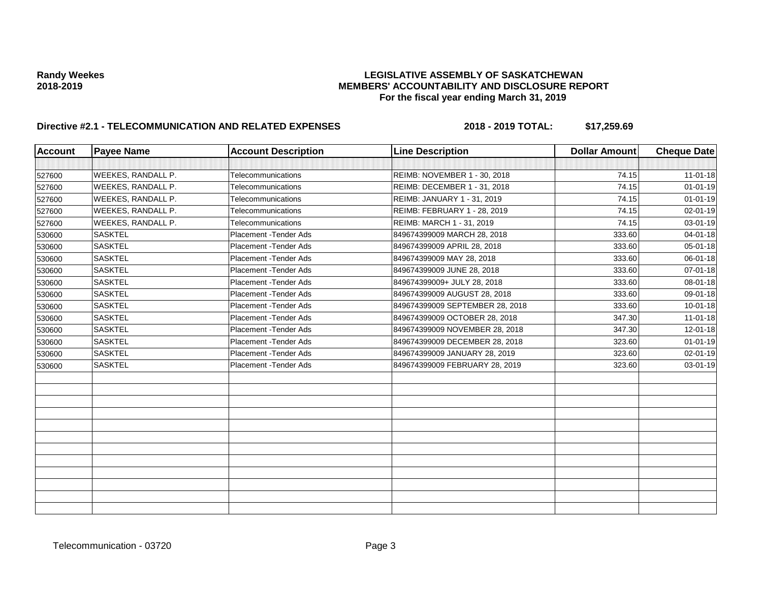| <b>Account</b> | <b>Payee Name</b>         | <b>Account Description</b> | <b>Line Description</b>         | <b>Dollar Amount</b> | <b>Cheque Date</b> |
|----------------|---------------------------|----------------------------|---------------------------------|----------------------|--------------------|
|                |                           |                            |                                 |                      |                    |
| 527600         | <b>WEEKES, RANDALL P.</b> | Telecommunications         | REIMB: NOVEMBER 1 - 30, 2018    | 74.15                | $11 - 01 - 18$     |
| 527600         | <b>WEEKES, RANDALL P.</b> | Telecommunications         | REIMB: DECEMBER 1 - 31, 2018    | 74.15                | $01 - 01 - 19$     |
| 527600         | <b>WEEKES, RANDALL P.</b> | Telecommunications         | REIMB: JANUARY 1 - 31, 2019     | 74.15                | $01 - 01 - 19$     |
| 527600         | <b>WEEKES, RANDALL P.</b> | Telecommunications         | REIMB: FEBRUARY 1 - 28, 2019    | 74.15                | $02 - 01 - 19$     |
| 527600         | <b>WEEKES, RANDALL P.</b> | Telecommunications         | REIMB: MARCH 1 - 31, 2019       | 74.15                | 03-01-19           |
| 530600         | <b>SASKTEL</b>            | Placement - Tender Ads     | 849674399009 MARCH 28, 2018     | 333.60               | $04 - 01 - 18$     |
| 530600         | <b>SASKTEL</b>            | Placement - Tender Ads     | 849674399009 APRIL 28, 2018     | 333.60               | $05 - 01 - 18$     |
| 530600         | <b>SASKTEL</b>            | Placement - Tender Ads     | 849674399009 MAY 28, 2018       | 333.60               | 06-01-18           |
| 530600         | <b>SASKTEL</b>            | Placement - Tender Ads     | 849674399009 JUNE 28, 2018      | 333.60               | $07 - 01 - 18$     |
| 530600         | <b>SASKTEL</b>            | Placement - Tender Ads     | 849674399009+ JULY 28, 2018     | 333.60               | $08 - 01 - 18$     |
| 530600         | <b>SASKTEL</b>            | Placement - Tender Ads     | 849674399009 AUGUST 28, 2018    | 333.60               | 09-01-18           |
| 530600         | <b>SASKTEL</b>            | Placement - Tender Ads     | 849674399009 SEPTEMBER 28, 2018 | 333.60               | $10 - 01 - 18$     |
| 530600         | <b>SASKTEL</b>            | Placement - Tender Ads     | 849674399009 OCTOBER 28, 2018   | 347.30               | $11-01-18$         |
| 530600         | <b>SASKTEL</b>            | Placement - Tender Ads     | 849674399009 NOVEMBER 28, 2018  | 347.30               | $12 - 01 - 18$     |
| 530600         | <b>SASKTEL</b>            | Placement - Tender Ads     | 849674399009 DECEMBER 28, 2018  | 323.60               | $01 - 01 - 19$     |
| 530600         | <b>SASKTEL</b>            | Placement - Tender Ads     | 849674399009 JANUARY 28, 2019   | 323.60               | $02 - 01 - 19$     |
| 530600         | <b>SASKTEL</b>            | Placement - Tender Ads     | 849674399009 FEBRUARY 28, 2019  | 323.60               | 03-01-19           |
|                |                           |                            |                                 |                      |                    |
|                |                           |                            |                                 |                      |                    |
|                |                           |                            |                                 |                      |                    |
|                |                           |                            |                                 |                      |                    |
|                |                           |                            |                                 |                      |                    |
|                |                           |                            |                                 |                      |                    |
|                |                           |                            |                                 |                      |                    |
|                |                           |                            |                                 |                      |                    |
|                |                           |                            |                                 |                      |                    |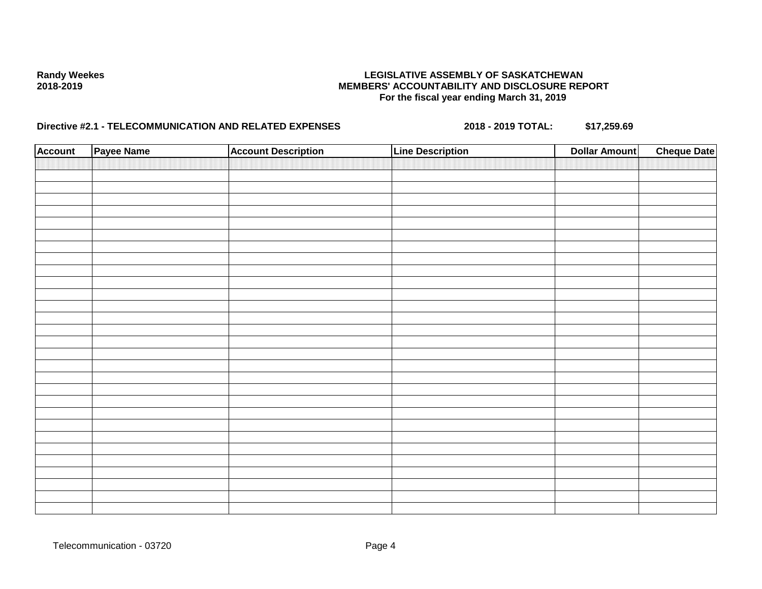| <b>Account</b> | Payee Name | <b>Account Description</b> | <b>Line Description</b> | <b>Dollar Amount</b> | <b>Cheque Date</b> |
|----------------|------------|----------------------------|-------------------------|----------------------|--------------------|
|                |            |                            |                         |                      |                    |
|                |            |                            |                         |                      |                    |
|                |            |                            |                         |                      |                    |
|                |            |                            |                         |                      |                    |
|                |            |                            |                         |                      |                    |
|                |            |                            |                         |                      |                    |
|                |            |                            |                         |                      |                    |
|                |            |                            |                         |                      |                    |
|                |            |                            |                         |                      |                    |
|                |            |                            |                         |                      |                    |
|                |            |                            |                         |                      |                    |
|                |            |                            |                         |                      |                    |
|                |            |                            |                         |                      |                    |
|                |            |                            |                         |                      |                    |
|                |            |                            |                         |                      |                    |
|                |            |                            |                         |                      |                    |
|                |            |                            |                         |                      |                    |
|                |            |                            |                         |                      |                    |
|                |            |                            |                         |                      |                    |
|                |            |                            |                         |                      |                    |
|                |            |                            |                         |                      |                    |
|                |            |                            |                         |                      |                    |
|                |            |                            |                         |                      |                    |
|                |            |                            |                         |                      |                    |
|                |            |                            |                         |                      |                    |
|                |            |                            |                         |                      |                    |
|                |            |                            |                         |                      |                    |
|                |            |                            |                         |                      |                    |
|                |            |                            |                         |                      |                    |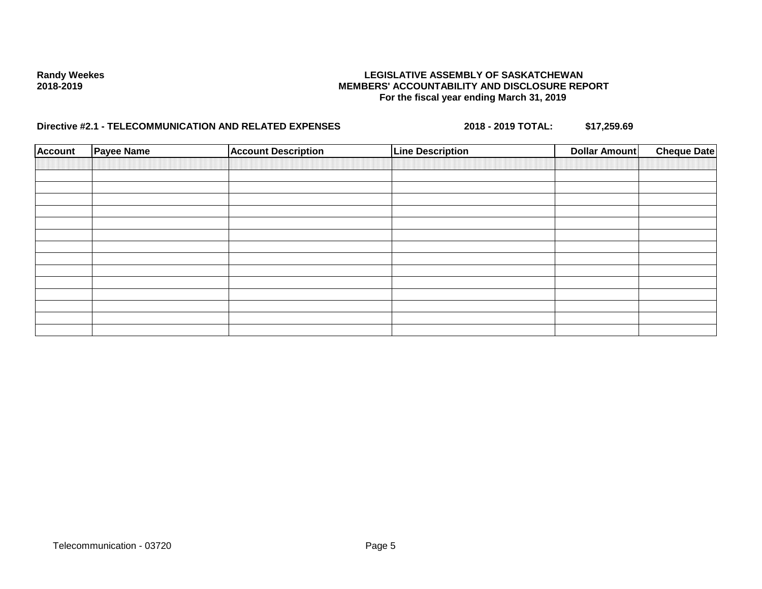| <b>Account</b> | Payee Name | <b>Account Description</b> | <b>Line Description</b> | <b>Dollar Amount</b> | <b>Cheque Date</b> |
|----------------|------------|----------------------------|-------------------------|----------------------|--------------------|
|                |            |                            |                         |                      |                    |
|                |            |                            |                         |                      |                    |
|                |            |                            |                         |                      |                    |
|                |            |                            |                         |                      |                    |
|                |            |                            |                         |                      |                    |
|                |            |                            |                         |                      |                    |
|                |            |                            |                         |                      |                    |
|                |            |                            |                         |                      |                    |
|                |            |                            |                         |                      |                    |
|                |            |                            |                         |                      |                    |
|                |            |                            |                         |                      |                    |
|                |            |                            |                         |                      |                    |
|                |            |                            |                         |                      |                    |
|                |            |                            |                         |                      |                    |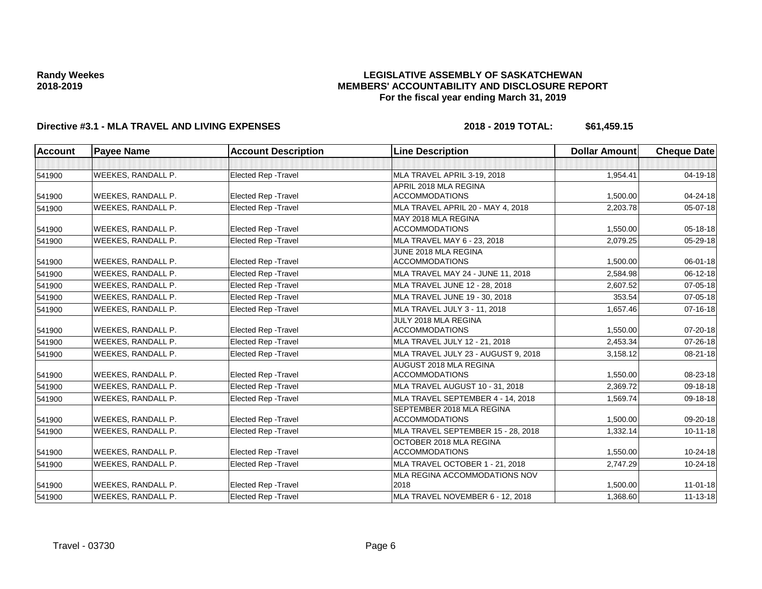## **LEGISLATIVE ASSEMBLY OF SASKATCHEWAN MEMBERS' ACCOUNTABILITY AND DISCLOSURE REPORT For the fiscal year ending March 31, 2019**

| Account | <b>Payee Name</b>  | <b>Account Description</b>  | <b>Line Description</b>             | <b>Dollar Amount</b> | <b>Cheque Date</b> |
|---------|--------------------|-----------------------------|-------------------------------------|----------------------|--------------------|
|         |                    |                             |                                     |                      |                    |
| 541900  | WEEKES, RANDALL P. | Elected Rep - Travel        | MLA TRAVEL APRIL 3-19, 2018         | 1,954.41             | $04 - 19 - 18$     |
|         |                    |                             | APRIL 2018 MLA REGINA               |                      |                    |
| 541900  | WEEKES, RANDALL P. | <b>Elected Rep - Travel</b> | <b>ACCOMMODATIONS</b>               | 1,500.00             | 04-24-18           |
| 541900  | WEEKES, RANDALL P. | <b>Elected Rep - Travel</b> | MLA TRAVEL APRIL 20 - MAY 4, 2018   | 2,203.78             | $05 - 07 - 18$     |
|         |                    |                             | MAY 2018 MLA REGINA                 |                      |                    |
| 541900  | WEEKES, RANDALL P. | <b>Elected Rep - Travel</b> | <b>ACCOMMODATIONS</b>               | 1,550.00             | $05 - 18 - 18$     |
| 541900  | WEEKES, RANDALL P. | <b>Elected Rep - Travel</b> | MLA TRAVEL MAY 6 - 23, 2018         | 2,079.25             | $05 - 29 - 18$     |
|         |                    |                             | JUNE 2018 MLA REGINA                |                      |                    |
| 541900  | WEEKES, RANDALL P. | <b>Elected Rep - Travel</b> | <b>ACCOMMODATIONS</b>               | 1,500.00             | 06-01-18           |
| 541900  | WEEKES, RANDALL P. | <b>Elected Rep - Travel</b> | MLA TRAVEL MAY 24 - JUNE 11, 2018   | 2,584.98             | $06 - 12 - 18$     |
| 541900  | WEEKES, RANDALL P. | <b>Elected Rep - Travel</b> | MLA TRAVEL JUNE 12 - 28, 2018       | 2,607.52             | $07 - 05 - 18$     |
| 541900  | WEEKES, RANDALL P. | Elected Rep - Travel        | MLA TRAVEL JUNE 19 - 30, 2018       | 353.54               | $07 - 05 - 18$     |
| 541900  | WEEKES, RANDALL P. | <b>Elected Rep - Travel</b> | MLA TRAVEL JULY 3 - 11, 2018        | 1,657.46             | $07 - 16 - 18$     |
|         |                    |                             | JULY 2018 MLA REGINA                |                      |                    |
| 541900  | WEEKES, RANDALL P. | <b>Elected Rep - Travel</b> | <b>ACCOMMODATIONS</b>               | 1,550.00             | $07 - 20 - 18$     |
| 541900  | WEEKES, RANDALL P. | <b>Elected Rep - Travel</b> | MLA TRAVEL JULY 12 - 21, 2018       | 2,453.34             | $07 - 26 - 18$     |
| 541900  | WEEKES, RANDALL P. | Elected Rep - Travel        | MLA TRAVEL JULY 23 - AUGUST 9, 2018 | 3,158.12             | 08-21-18           |
|         |                    |                             | AUGUST 2018 MLA REGINA              |                      |                    |
| 541900  | WEEKES, RANDALL P. | <b>Elected Rep - Travel</b> | <b>ACCOMMODATIONS</b>               | 1,550.00             | 08-23-18           |
| 541900  | WEEKES, RANDALL P. | <b>Elected Rep - Travel</b> | MLA TRAVEL AUGUST 10 - 31, 2018     | 2.369.72             | $09 - 18 - 18$     |
| 541900  | WEEKES, RANDALL P. | Elected Rep - Travel        | MLA TRAVEL SEPTEMBER 4 - 14, 2018   | 1,569.74             | $09-18-18$         |
|         |                    |                             | <b>SEPTEMBER 2018 MLA REGINA</b>    |                      |                    |
| 541900  | WEEKES, RANDALL P. | <b>Elected Rep - Travel</b> | <b>ACCOMMODATIONS</b>               | 1,500.00             | 09-20-18           |
| 541900  | WEEKES, RANDALL P. | <b>Elected Rep - Travel</b> | MLA TRAVEL SEPTEMBER 15 - 28, 2018  | 1,332.14             | $10-11-18$         |
|         |                    |                             | OCTOBER 2018 MLA REGINA             |                      |                    |
| 541900  | WEEKES, RANDALL P. | <b>Elected Rep - Travel</b> | <b>ACCOMMODATIONS</b>               | 1,550.00             | 10-24-18           |
| 541900  | WEEKES, RANDALL P. | Elected Rep - Travel        | MLA TRAVEL OCTOBER 1 - 21, 2018     | 2,747.29             | $10 - 24 - 18$     |
|         |                    |                             | MLA REGINA ACCOMMODATIONS NOV       |                      |                    |
| 541900  | WEEKES, RANDALL P. | <b>Elected Rep - Travel</b> | 2018                                | 1,500.00             | $11 - 01 - 18$     |
| 541900  | WEEKES, RANDALL P. | <b>Elected Rep - Travel</b> | MLA TRAVEL NOVEMBER 6 - 12, 2018    | 1,368.60             | $11 - 13 - 18$     |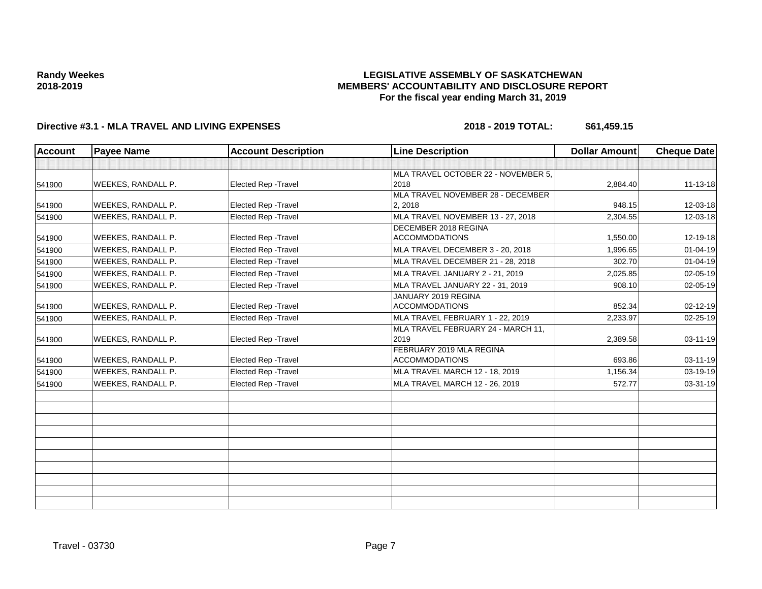## **LEGISLATIVE ASSEMBLY OF SASKATCHEWAN MEMBERS' ACCOUNTABILITY AND DISCLOSURE REPORT For the fiscal year ending March 31, 2019**

| <b>Account</b> | <b>Payee Name</b>         | <b>Account Description</b>  | <b>Line Description</b>             | <b>Dollar Amount</b> | <b>Cheque Date</b> |
|----------------|---------------------------|-----------------------------|-------------------------------------|----------------------|--------------------|
|                |                           |                             |                                     |                      |                    |
|                |                           |                             | MLA TRAVEL OCTOBER 22 - NOVEMBER 5, |                      |                    |
| 541900         | <b>WEEKES, RANDALL P.</b> | <b>Elected Rep - Travel</b> | 2018                                | 2,884.40             | $11 - 13 - 18$     |
|                |                           |                             | MLA TRAVEL NOVEMBER 28 - DECEMBER   |                      |                    |
| 541900         | <b>WEEKES, RANDALL P.</b> | <b>Elected Rep - Travel</b> | 2, 2018                             | 948.15               | 12-03-18           |
| 541900         | <b>WEEKES, RANDALL P.</b> | Elected Rep - Travel        | MLA TRAVEL NOVEMBER 13 - 27, 2018   | 2.304.55             | 12-03-18           |
|                |                           |                             | DECEMBER 2018 REGINA                |                      |                    |
| 541900         | WEEKES, RANDALL P.        | Elected Rep - Travel        | <b>ACCOMMODATIONS</b>               | 1,550.00             | 12-19-18           |
| 541900         | <b>WEEKES, RANDALL P.</b> | <b>Elected Rep - Travel</b> | MLA TRAVEL DECEMBER 3 - 20, 2018    | 1,996.65             | $01 - 04 - 19$     |
| 541900         | <b>WEEKES, RANDALL P.</b> | Elected Rep - Travel        | MLA TRAVEL DECEMBER 21 - 28, 2018   | 302.70               | $01 - 04 - 19$     |
| 541900         | <b>WEEKES, RANDALL P.</b> | Elected Rep - Travel        | MLA TRAVEL JANUARY 2 - 21, 2019     | 2,025.85             | 02-05-19           |
| 541900         | <b>WEEKES, RANDALL P.</b> | Elected Rep - Travel        | MLA TRAVEL JANUARY 22 - 31, 2019    | 908.10               | $02 - 05 - 19$     |
|                |                           |                             | JANUARY 2019 REGINA                 |                      |                    |
| 541900         | <b>WEEKES, RANDALL P.</b> | Elected Rep - Travel        | <b>ACCOMMODATIONS</b>               | 852.34               | 02-12-19           |
| 541900         | WEEKES, RANDALL P.        | Elected Rep - Travel        | MLA TRAVEL FEBRUARY 1 - 22, 2019    | 2,233.97             | 02-25-19           |
|                |                           |                             | MLA TRAVEL FEBRUARY 24 - MARCH 11,  |                      |                    |
| 541900         | <b>WEEKES, RANDALL P.</b> | <b>Elected Rep - Travel</b> | 2019                                | 2,389.58             | $03 - 11 - 19$     |
|                |                           |                             | FEBRUARY 2019 MLA REGINA            |                      |                    |
| 541900         | <b>WEEKES, RANDALL P.</b> | Elected Rep - Travel        | <b>ACCOMMODATIONS</b>               | 693.86               | 03-11-19           |
| 541900         | <b>WEEKES, RANDALL P.</b> | Elected Rep - Travel        | MLA TRAVEL MARCH 12 - 18, 2019      | 1,156.34             | 03-19-19           |
| 541900         | <b>WEEKES, RANDALL P.</b> | <b>Elected Rep - Travel</b> | MLA TRAVEL MARCH 12 - 26, 2019      | 572.77               | 03-31-19           |
|                |                           |                             |                                     |                      |                    |
|                |                           |                             |                                     |                      |                    |
|                |                           |                             |                                     |                      |                    |
|                |                           |                             |                                     |                      |                    |
|                |                           |                             |                                     |                      |                    |
|                |                           |                             |                                     |                      |                    |
|                |                           |                             |                                     |                      |                    |
|                |                           |                             |                                     |                      |                    |
|                |                           |                             |                                     |                      |                    |
|                |                           |                             |                                     |                      |                    |
|                |                           |                             |                                     |                      |                    |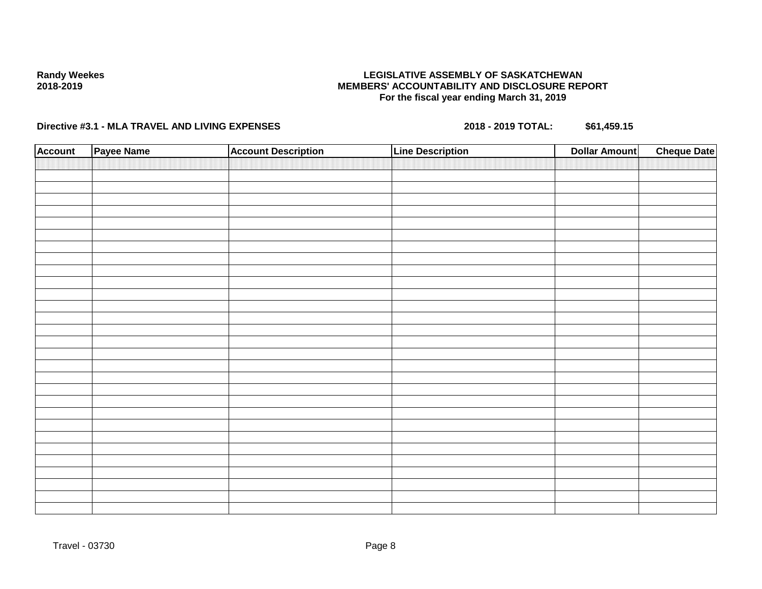## **LEGISLATIVE ASSEMBLY OF SASKATCHEWAN MEMBERS' ACCOUNTABILITY AND DISCLOSURE REPORT For the fiscal year ending March 31, 2019**

| <b>Account</b> | Payee Name | <b>Account Description</b> | <b>Line Description</b> | <b>Dollar Amount</b> | <b>Cheque Date</b> |
|----------------|------------|----------------------------|-------------------------|----------------------|--------------------|
|                |            |                            |                         |                      |                    |
|                |            |                            |                         |                      |                    |
|                |            |                            |                         |                      |                    |
|                |            |                            |                         |                      |                    |
|                |            |                            |                         |                      |                    |
|                |            |                            |                         |                      |                    |
|                |            |                            |                         |                      |                    |
|                |            |                            |                         |                      |                    |
|                |            |                            |                         |                      |                    |
|                |            |                            |                         |                      |                    |
|                |            |                            |                         |                      |                    |
|                |            |                            |                         |                      |                    |
|                |            |                            |                         |                      |                    |
|                |            |                            |                         |                      |                    |
|                |            |                            |                         |                      |                    |
|                |            |                            |                         |                      |                    |
|                |            |                            |                         |                      |                    |
|                |            |                            |                         |                      |                    |
|                |            |                            |                         |                      |                    |
|                |            |                            |                         |                      |                    |
|                |            |                            |                         |                      |                    |
|                |            |                            |                         |                      |                    |
|                |            |                            |                         |                      |                    |
|                |            |                            |                         |                      |                    |
|                |            |                            |                         |                      |                    |
|                |            |                            |                         |                      |                    |
|                |            |                            |                         |                      |                    |
|                |            |                            |                         |                      |                    |
|                |            |                            |                         |                      |                    |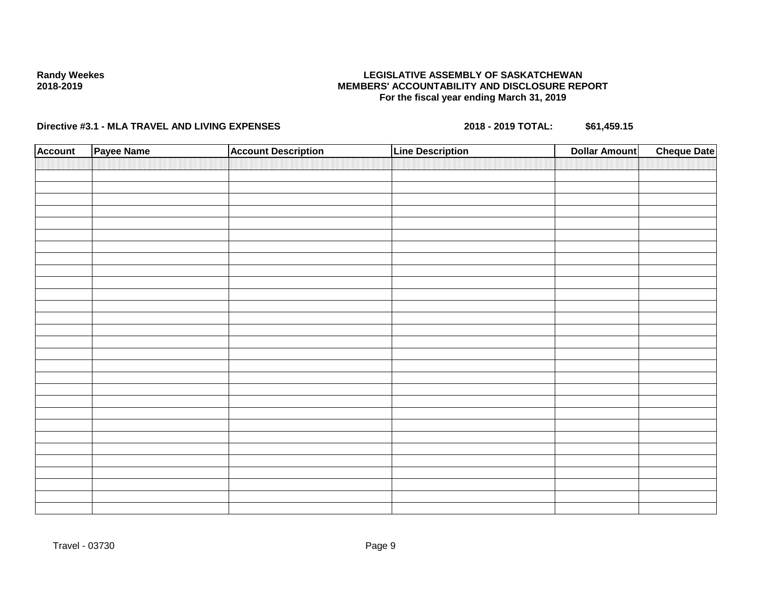## **LEGISLATIVE ASSEMBLY OF SASKATCHEWAN MEMBERS' ACCOUNTABILITY AND DISCLOSURE REPORT For the fiscal year ending March 31, 2019**

| <b>Account</b> | Payee Name | <b>Account Description</b> | <b>Line Description</b> | <b>Dollar Amount</b> | <b>Cheque Date</b> |
|----------------|------------|----------------------------|-------------------------|----------------------|--------------------|
|                |            |                            |                         |                      |                    |
|                |            |                            |                         |                      |                    |
|                |            |                            |                         |                      |                    |
|                |            |                            |                         |                      |                    |
|                |            |                            |                         |                      |                    |
|                |            |                            |                         |                      |                    |
|                |            |                            |                         |                      |                    |
|                |            |                            |                         |                      |                    |
|                |            |                            |                         |                      |                    |
|                |            |                            |                         |                      |                    |
|                |            |                            |                         |                      |                    |
|                |            |                            |                         |                      |                    |
|                |            |                            |                         |                      |                    |
|                |            |                            |                         |                      |                    |
|                |            |                            |                         |                      |                    |
|                |            |                            |                         |                      |                    |
|                |            |                            |                         |                      |                    |
|                |            |                            |                         |                      |                    |
|                |            |                            |                         |                      |                    |
|                |            |                            |                         |                      |                    |
|                |            |                            |                         |                      |                    |
|                |            |                            |                         |                      |                    |
|                |            |                            |                         |                      |                    |
|                |            |                            |                         |                      |                    |
|                |            |                            |                         |                      |                    |
|                |            |                            |                         |                      |                    |
|                |            |                            |                         |                      |                    |
|                |            |                            |                         |                      |                    |
|                |            |                            |                         |                      |                    |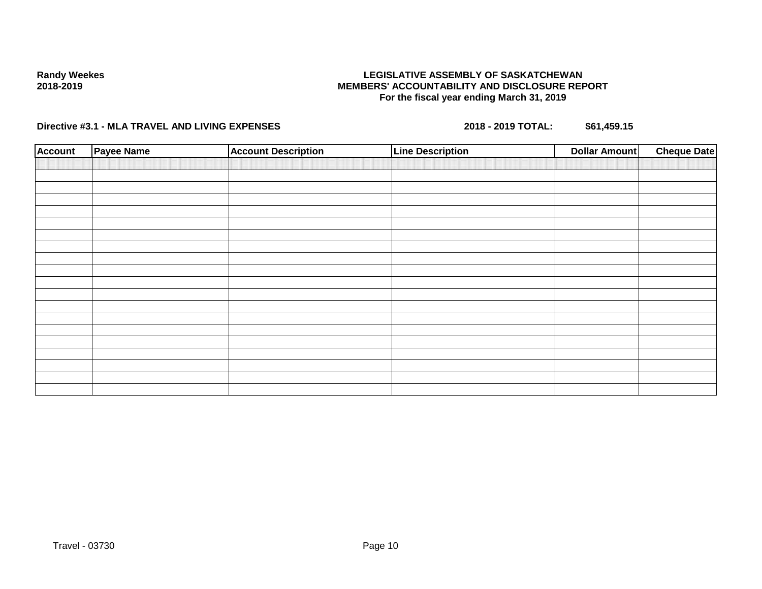## **LEGISLATIVE ASSEMBLY OF SASKATCHEWAN MEMBERS' ACCOUNTABILITY AND DISCLOSURE REPORT For the fiscal year ending March 31, 2019**

| <b>Account</b> | Payee Name | <b>Account Description</b> | <b>Line Description</b> | <b>Dollar Amount</b> | <b>Cheque Date</b> |
|----------------|------------|----------------------------|-------------------------|----------------------|--------------------|
|                |            |                            |                         |                      |                    |
|                |            |                            |                         |                      |                    |
|                |            |                            |                         |                      |                    |
|                |            |                            |                         |                      |                    |
|                |            |                            |                         |                      |                    |
|                |            |                            |                         |                      |                    |
|                |            |                            |                         |                      |                    |
|                |            |                            |                         |                      |                    |
|                |            |                            |                         |                      |                    |
|                |            |                            |                         |                      |                    |
|                |            |                            |                         |                      |                    |
|                |            |                            |                         |                      |                    |
|                |            |                            |                         |                      |                    |
|                |            |                            |                         |                      |                    |
|                |            |                            |                         |                      |                    |
|                |            |                            |                         |                      |                    |
|                |            |                            |                         |                      |                    |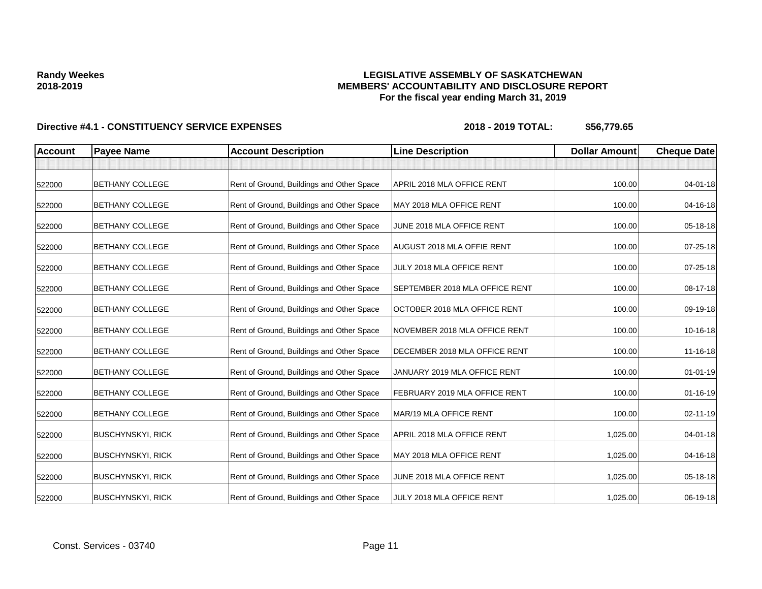## **LEGISLATIVE ASSEMBLY OF SASKATCHEWAN MEMBERS' ACCOUNTABILITY AND DISCLOSURE REPORT For the fiscal year ending March 31, 2019**

| <b>Account</b> | <b>Payee Name</b>        | <b>Account Description</b>                | <b>Line Description</b>        | <b>Dollar Amount</b> | <b>Cheque Date</b> |
|----------------|--------------------------|-------------------------------------------|--------------------------------|----------------------|--------------------|
|                |                          |                                           |                                |                      |                    |
| 522000         | <b>BETHANY COLLEGE</b>   | Rent of Ground, Buildings and Other Space | APRIL 2018 MLA OFFICE RENT     | 100.00               | $04 - 01 - 18$     |
| 522000         | <b>BETHANY COLLEGE</b>   | Rent of Ground, Buildings and Other Space | MAY 2018 MLA OFFICE RENT       | 100.00               | 04-16-18           |
| 522000         | <b>BETHANY COLLEGE</b>   | Rent of Ground, Buildings and Other Space | JUNE 2018 MLA OFFICE RENT      | 100.00               | 05-18-18           |
| 522000         | <b>BETHANY COLLEGE</b>   | Rent of Ground, Buildings and Other Space | AUGUST 2018 MLA OFFIE RENT     | 100.00               | 07-25-18           |
| 522000         | BETHANY COLLEGE          | Rent of Ground, Buildings and Other Space | JULY 2018 MLA OFFICE RENT      | 100.00               | 07-25-18           |
| 522000         | <b>BETHANY COLLEGE</b>   | Rent of Ground, Buildings and Other Space | SEPTEMBER 2018 MLA OFFICE RENT | 100.00               | 08-17-18           |
| 522000         | <b>BETHANY COLLEGE</b>   | Rent of Ground, Buildings and Other Space | OCTOBER 2018 MLA OFFICE RENT   | 100.00               | 09-19-18           |
| 522000         | <b>BETHANY COLLEGE</b>   | Rent of Ground, Buildings and Other Space | NOVEMBER 2018 MLA OFFICE RENT  | 100.00               | 10-16-18           |
| 522000         | <b>BETHANY COLLEGE</b>   | Rent of Ground, Buildings and Other Space | DECEMBER 2018 MLA OFFICE RENT  | 100.00               | 11-16-18           |
| 522000         | <b>BETHANY COLLEGE</b>   | Rent of Ground, Buildings and Other Space | JANUARY 2019 MLA OFFICE RENT   | 100.00               | $01 - 01 - 19$     |
| 522000         | BETHANY COLLEGE          | Rent of Ground, Buildings and Other Space | FEBRUARY 2019 MLA OFFICE RENT  | 100.00               | 01-16-19           |
| 522000         | <b>BETHANY COLLEGE</b>   | Rent of Ground, Buildings and Other Space | MAR/19 MLA OFFICE RENT         | 100.00               | 02-11-19           |
| 522000         | <b>BUSCHYNSKYI, RICK</b> | Rent of Ground, Buildings and Other Space | APRIL 2018 MLA OFFICE RENT     | 1,025.00             | 04-01-18           |
| 522000         | <b>BUSCHYNSKYI, RICK</b> | Rent of Ground, Buildings and Other Space | MAY 2018 MLA OFFICE RENT       | 1,025.00             | 04-16-18           |
| 522000         | <b>BUSCHYNSKYI, RICK</b> | Rent of Ground, Buildings and Other Space | JUNE 2018 MLA OFFICE RENT      | 1,025.00             | 05-18-18           |
| 522000         | <b>BUSCHYNSKYI, RICK</b> | Rent of Ground, Buildings and Other Space | JULY 2018 MLA OFFICE RENT      | 1,025.00             | 06-19-18           |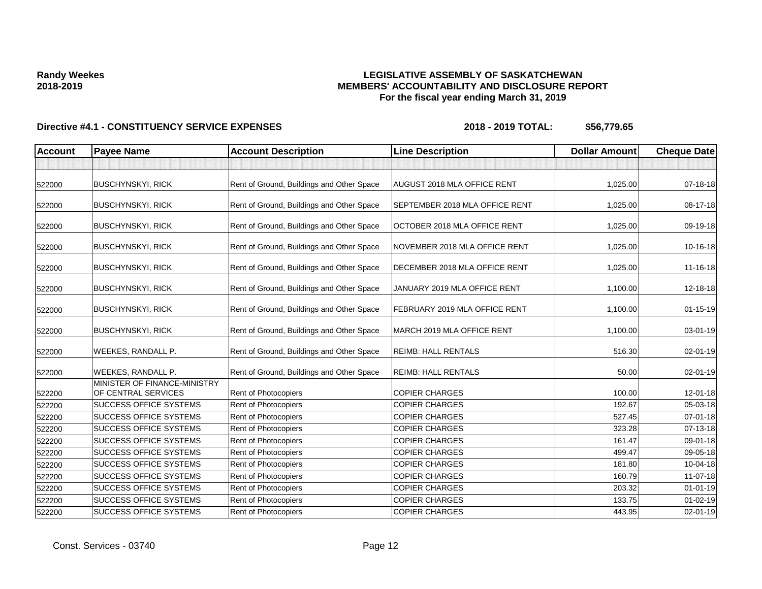## **LEGISLATIVE ASSEMBLY OF SASKATCHEWAN MEMBERS' ACCOUNTABILITY AND DISCLOSURE REPORT For the fiscal year ending March 31, 2019**

| <b>Account</b> | <b>Payee Name</b>                                   | <b>Account Description</b>                | <b>Line Description</b>            | <b>Dollar Amount</b> | <b>Cheque Date</b> |
|----------------|-----------------------------------------------------|-------------------------------------------|------------------------------------|----------------------|--------------------|
|                |                                                     |                                           |                                    |                      |                    |
| 522000         | <b>BUSCHYNSKYI, RICK</b>                            | Rent of Ground, Buildings and Other Space | <b>AUGUST 2018 MLA OFFICE RENT</b> | 1,025.00             | 07-18-18           |
| 522000         | <b>BUSCHYNSKYI, RICK</b>                            | Rent of Ground, Buildings and Other Space | SEPTEMBER 2018 MLA OFFICE RENT     | 1,025.00             | 08-17-18           |
| 522000         | <b>BUSCHYNSKYI, RICK</b>                            | Rent of Ground, Buildings and Other Space | OCTOBER 2018 MLA OFFICE RENT       | 1,025.00             | 09-19-18           |
| 522000         | <b>BUSCHYNSKYI, RICK</b>                            | Rent of Ground, Buildings and Other Space | NOVEMBER 2018 MLA OFFICE RENT      | 1,025.00             | 10-16-18           |
| 522000         | <b>BUSCHYNSKYI, RICK</b>                            | Rent of Ground, Buildings and Other Space | DECEMBER 2018 MLA OFFICE RENT      | 1,025.00             | 11-16-18           |
| 522000         | <b>BUSCHYNSKYI, RICK</b>                            | Rent of Ground, Buildings and Other Space | JANUARY 2019 MLA OFFICE RENT       | 1,100.00             | 12-18-18           |
| 522000         | <b>BUSCHYNSKYI, RICK</b>                            | Rent of Ground, Buildings and Other Space | FEBRUARY 2019 MLA OFFICE RENT      | 1,100.00             | $01 - 15 - 19$     |
| 522000         | <b>BUSCHYNSKYI, RICK</b>                            | Rent of Ground, Buildings and Other Space | MARCH 2019 MLA OFFICE RENT         | 1,100.00             | 03-01-19           |
| 522000         | WEEKES, RANDALL P.                                  | Rent of Ground, Buildings and Other Space | <b>REIMB: HALL RENTALS</b>         | 516.30               | 02-01-19           |
| 522000         | WEEKES, RANDALL P.                                  | Rent of Ground, Buildings and Other Space | <b>REIMB: HALL RENTALS</b>         | 50.00                | $02 - 01 - 19$     |
| 522200         | MINISTER OF FINANCE-MINISTRY<br>OF CENTRAL SERVICES | Rent of Photocopiers                      | <b>COPIER CHARGES</b>              | 100.00               | 12-01-18           |
| 522200         | <b>SUCCESS OFFICE SYSTEMS</b>                       | <b>Rent of Photocopiers</b>               | <b>COPIER CHARGES</b>              | 192.67               | 05-03-18           |
| 522200         | <b>SUCCESS OFFICE SYSTEMS</b>                       | Rent of Photocopiers                      | <b>COPIER CHARGES</b>              | 527.45               | $07 - 01 - 18$     |
| 522200         | <b>SUCCESS OFFICE SYSTEMS</b>                       | Rent of Photocopiers                      | <b>COPIER CHARGES</b>              | 323.28               | 07-13-18           |
| 522200         | <b>SUCCESS OFFICE SYSTEMS</b>                       | Rent of Photocopiers                      | <b>COPIER CHARGES</b>              | 161.47               | 09-01-18           |
| 522200         | <b>SUCCESS OFFICE SYSTEMS</b>                       | Rent of Photocopiers                      | <b>COPIER CHARGES</b>              | 499.47               | 09-05-18           |
| 522200         | <b>SUCCESS OFFICE SYSTEMS</b>                       | Rent of Photocopiers                      | <b>COPIER CHARGES</b>              | 181.80               | 10-04-18           |
| 522200         | <b>SUCCESS OFFICE SYSTEMS</b>                       | <b>Rent of Photocopiers</b>               | <b>COPIER CHARGES</b>              | 160.79               | 11-07-18           |
| 522200         | <b>SUCCESS OFFICE SYSTEMS</b>                       | Rent of Photocopiers                      | <b>COPIER CHARGES</b>              | 203.32               | $01 - 01 - 19$     |
| 522200         | <b>SUCCESS OFFICE SYSTEMS</b>                       | Rent of Photocopiers                      | <b>COPIER CHARGES</b>              | 133.75               | $01 - 02 - 19$     |
| 522200         | <b>SUCCESS OFFICE SYSTEMS</b>                       | <b>Rent of Photocopiers</b>               | <b>COPIER CHARGES</b>              | 443.95               | $02 - 01 - 19$     |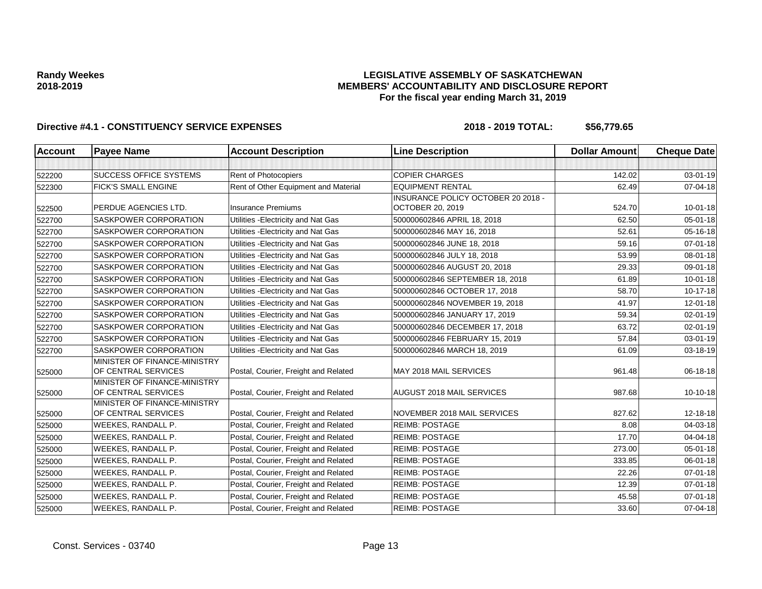## **LEGISLATIVE ASSEMBLY OF SASKATCHEWAN MEMBERS' ACCOUNTABILITY AND DISCLOSURE REPORT For the fiscal year ending March 31, 2019**

| <b>Account</b> | <b>Payee Name</b>                                   | <b>Account Description</b>           | <b>Line Description</b>            | <b>Dollar Amount</b> | <b>Cheque Date</b> |
|----------------|-----------------------------------------------------|--------------------------------------|------------------------------------|----------------------|--------------------|
|                |                                                     |                                      |                                    |                      |                    |
| 522200         | <b>SUCCESS OFFICE SYSTEMS</b>                       | Rent of Photocopiers                 | <b>COPIER CHARGES</b>              | 142.02               | $03 - 01 - 19$     |
| 522300         | <b>FICK'S SMALL ENGINE</b>                          | Rent of Other Equipment and Material | <b>EQUIPMENT RENTAL</b>            | 62.49                | 07-04-18           |
|                |                                                     |                                      | INSURANCE POLICY OCTOBER 20 2018 - |                      |                    |
| 522500         | PERDUE AGENCIES LTD.                                | <b>Insurance Premiums</b>            | OCTOBER 20, 2019                   | 524.70               | $10 - 01 - 18$     |
| 522700         | <b>SASKPOWER CORPORATION</b>                        | Utilities - Electricity and Nat Gas  | 500000602846 APRIL 18, 2018        | 62.50                | 05-01-18           |
| 522700         | SASKPOWER CORPORATION                               | Utilities - Electricity and Nat Gas  | 500000602846 MAY 16, 2018          | 52.61                | 05-16-18           |
| 522700         | <b>SASKPOWER CORPORATION</b>                        | Utilities - Electricity and Nat Gas  | 500000602846 JUNE 18, 2018         | 59.16                | $07 - 01 - 18$     |
| 522700         | <b>SASKPOWER CORPORATION</b>                        | Utilities - Electricity and Nat Gas  | 500000602846 JULY 18, 2018         | 53.99                | 08-01-18           |
| 522700         | SASKPOWER CORPORATION                               | Utilities - Electricity and Nat Gas  | 500000602846 AUGUST 20, 2018       | 29.33                | 09-01-18           |
| 522700         | <b>SASKPOWER CORPORATION</b>                        | Utilities - Electricity and Nat Gas  | 500000602846 SEPTEMBER 18, 2018    | 61.89                | $10 - 01 - 18$     |
| 522700         | <b>SASKPOWER CORPORATION</b>                        | Utilities - Electricity and Nat Gas  | 500000602846 OCTOBER 17, 2018      | 58.70                | $10-17-18$         |
| 522700         | <b>SASKPOWER CORPORATION</b>                        | Utilities - Electricity and Nat Gas  | 500000602846 NOVEMBER 19, 2018     | 41.97                | 12-01-18           |
| 522700         | <b>SASKPOWER CORPORATION</b>                        | Utilities - Electricity and Nat Gas  | 500000602846 JANUARY 17, 2019      | 59.34                | $02 - 01 - 19$     |
| 522700         | SASKPOWER CORPORATION                               | Utilities - Electricity and Nat Gas  | 500000602846 DECEMBER 17, 2018     | 63.72                | 02-01-19           |
| 522700         | SASKPOWER CORPORATION                               | Utilities - Electricity and Nat Gas  | 500000602846 FEBRUARY 15, 2019     | 57.84                | 03-01-19           |
| 522700         | <b>SASKPOWER CORPORATION</b>                        | Utilities - Electricity and Nat Gas  | 500000602846 MARCH 18, 2019        | 61.09                | 03-18-19           |
| 525000         | MINISTER OF FINANCE-MINISTRY<br>OF CENTRAL SERVICES | Postal, Courier, Freight and Related | MAY 2018 MAIL SERVICES             | 961.48               | 06-18-18           |
| 525000         | MINISTER OF FINANCE-MINISTRY<br>OF CENTRAL SERVICES | Postal, Courier, Freight and Related | <b>AUGUST 2018 MAIL SERVICES</b>   | 987.68               | $10-10-18$         |
| 525000         | MINISTER OF FINANCE-MINISTRY<br>OF CENTRAL SERVICES | Postal, Courier, Freight and Related | NOVEMBER 2018 MAIL SERVICES        | 827.62               | 12-18-18           |
| 525000         | WEEKES, RANDALL P.                                  | Postal, Courier, Freight and Related | <b>REIMB: POSTAGE</b>              | 8.08                 | 04-03-18           |
| 525000         | WEEKES, RANDALL P.                                  | Postal, Courier, Freight and Related | <b>REIMB: POSTAGE</b>              | 17.70                | 04-04-18           |
| 525000         | WEEKES, RANDALL P.                                  | Postal, Courier, Freight and Related | <b>REIMB: POSTAGE</b>              | 273.00               | $05 - 01 - 18$     |
| 525000         | WEEKES, RANDALL P.                                  | Postal, Courier, Freight and Related | <b>REIMB: POSTAGE</b>              | 333.85               | 06-01-18           |
| 525000         | WEEKES, RANDALL P.                                  | Postal, Courier, Freight and Related | <b>REIMB: POSTAGE</b>              | 22.26                | $07 - 01 - 18$     |
| 525000         | WEEKES, RANDALL P.                                  | Postal, Courier, Freight and Related | <b>REIMB: POSTAGE</b>              | 12.39                | $07 - 01 - 18$     |
| 525000         | WEEKES, RANDALL P.                                  | Postal, Courier, Freight and Related | <b>REIMB: POSTAGE</b>              | 45.58                | $07 - 01 - 18$     |
| 525000         | WEEKES, RANDALL P.                                  | Postal, Courier, Freight and Related | <b>REIMB: POSTAGE</b>              | 33.60                | 07-04-18           |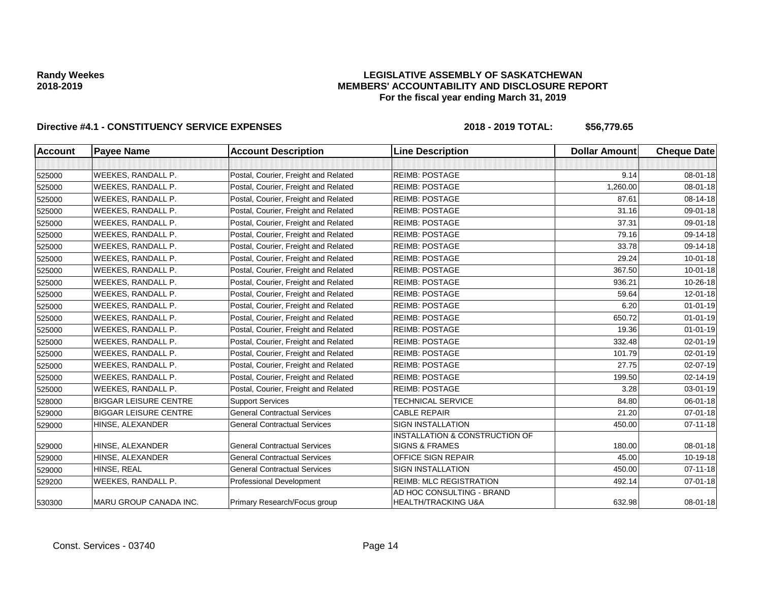## **LEGISLATIVE ASSEMBLY OF SASKATCHEWAN MEMBERS' ACCOUNTABILITY AND DISCLOSURE REPORT For the fiscal year ending March 31, 2019**

| Account | <b>Payee Name</b>            | <b>Account Description</b>           | <b>Line Description</b>                                     | <b>Dollar Amount</b> | <b>Cheque Date</b> |
|---------|------------------------------|--------------------------------------|-------------------------------------------------------------|----------------------|--------------------|
|         |                              |                                      |                                                             |                      |                    |
| 525000  | WEEKES, RANDALL P.           | Postal, Courier, Freight and Related | <b>REIMB: POSTAGE</b>                                       | 9.14                 | 08-01-18           |
| 525000  | WEEKES, RANDALL P.           | Postal, Courier, Freight and Related | <b>REIMB: POSTAGE</b>                                       | 1,260.00             | 08-01-18           |
| 525000  | WEEKES, RANDALL P.           | Postal, Courier, Freight and Related | <b>REIMB: POSTAGE</b>                                       | 87.61                | 08-14-18           |
| 525000  | WEEKES, RANDALL P.           | Postal, Courier, Freight and Related | <b>REIMB: POSTAGE</b>                                       | 31.16                | 09-01-18           |
| 525000  | <b>WEEKES, RANDALL P.</b>    | Postal, Courier, Freight and Related | <b>REIMB: POSTAGE</b>                                       | 37.31                | 09-01-18           |
| 525000  | WEEKES, RANDALL P.           | Postal, Courier, Freight and Related | <b>REIMB: POSTAGE</b>                                       | 79.16                | 09-14-18           |
| 525000  | WEEKES, RANDALL P.           | Postal, Courier, Freight and Related | <b>REIMB: POSTAGE</b>                                       | 33.78                | 09-14-18           |
| 525000  | WEEKES, RANDALL P.           | Postal, Courier, Freight and Related | <b>REIMB: POSTAGE</b>                                       | 29.24                | $10 - 01 - 18$     |
| 525000  | WEEKES, RANDALL P.           | Postal, Courier, Freight and Related | <b>REIMB: POSTAGE</b>                                       | 367.50               | $10 - 01 - 18$     |
| 525000  | WEEKES, RANDALL P.           | Postal, Courier, Freight and Related | <b>REIMB: POSTAGE</b>                                       | 936.21               | 10-26-18           |
| 525000  | WEEKES, RANDALL P.           | Postal, Courier, Freight and Related | <b>REIMB: POSTAGE</b>                                       | 59.64                | 12-01-18           |
| 525000  | WEEKES, RANDALL P.           | Postal, Courier, Freight and Related | <b>REIMB: POSTAGE</b>                                       | 6.20                 | $01 - 01 - 19$     |
| 525000  | WEEKES, RANDALL P.           | Postal, Courier, Freight and Related | <b>REIMB: POSTAGE</b>                                       | 650.72               | $01 - 01 - 19$     |
| 525000  | WEEKES, RANDALL P.           | Postal, Courier, Freight and Related | <b>REIMB: POSTAGE</b>                                       | 19.36                | $01 - 01 - 19$     |
| 525000  | WEEKES, RANDALL P.           | Postal, Courier, Freight and Related | <b>REIMB: POSTAGE</b>                                       | 332.48               | $02 - 01 - 19$     |
| 525000  | WEEKES, RANDALL P.           | Postal, Courier, Freight and Related | <b>REIMB: POSTAGE</b>                                       | 101.79               | $02 - 01 - 19$     |
| 525000  | WEEKES, RANDALL P.           | Postal, Courier, Freight and Related | <b>REIMB: POSTAGE</b>                                       | 27.75                | 02-07-19           |
| 525000  | WEEKES, RANDALL P.           | Postal, Courier, Freight and Related | <b>REIMB: POSTAGE</b>                                       | 199.50               | 02-14-19           |
| 525000  | WEEKES, RANDALL P.           | Postal, Courier, Freight and Related | <b>REIMB: POSTAGE</b>                                       | 3.28                 | $03 - 01 - 19$     |
| 528000  | <b>BIGGAR LEISURE CENTRE</b> | <b>Support Services</b>              | <b>TECHNICAL SERVICE</b>                                    | 84.80                | 06-01-18           |
| 529000  | <b>BIGGAR LEISURE CENTRE</b> | <b>General Contractual Services</b>  | <b>CABLE REPAIR</b>                                         | 21.20                | $07 - 01 - 18$     |
| 529000  | HINSE, ALEXANDER             | <b>General Contractual Services</b>  | <b>SIGN INSTALLATION</b>                                    | 450.00               | $07 - 11 - 18$     |
| 529000  | HINSE, ALEXANDER             | <b>General Contractual Services</b>  | INSTALLATION & CONSTRUCTION OF<br><b>SIGNS &amp; FRAMES</b> | 180.00               | 08-01-18           |
| 529000  | HINSE, ALEXANDER             | <b>General Contractual Services</b>  | <b>OFFICE SIGN REPAIR</b>                                   | 45.00                | 10-19-18           |
| 529000  | HINSE, REAL                  | <b>General Contractual Services</b>  | <b>SIGN INSTALLATION</b>                                    | 450.00               | $07 - 11 - 18$     |
| 529200  | WEEKES, RANDALL P.           | Professional Development             | <b>REIMB: MLC REGISTRATION</b>                              | 492.14               | 07-01-18           |
| 530300  | MARU GROUP CANADA INC.       | Primary Research/Focus group         | AD HOC CONSULTING - BRAND<br><b>HEALTH/TRACKING U&amp;A</b> | 632.98               | 08-01-18           |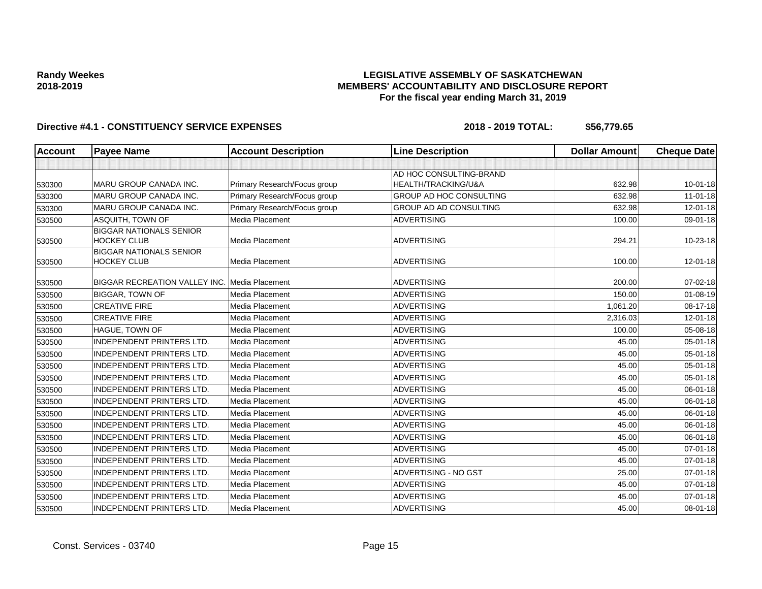## **LEGISLATIVE ASSEMBLY OF SASKATCHEWAN MEMBERS' ACCOUNTABILITY AND DISCLOSURE REPORT For the fiscal year ending March 31, 2019**

| <b>Account</b> | <b>Payee Name</b>                                    | <b>Account Description</b>   | <b>Line Description</b>                        | <b>Dollar Amount</b> | <b>Cheque Date</b> |
|----------------|------------------------------------------------------|------------------------------|------------------------------------------------|----------------------|--------------------|
|                |                                                      |                              |                                                |                      |                    |
| 530300         | MARU GROUP CANADA INC.                               | Primary Research/Focus group | AD HOC CONSULTING-BRAND<br>HEALTH/TRACKING/U&A | 632.98               | $10 - 01 - 18$     |
| 530300         | <b>MARU GROUP CANADA INC.</b>                        | Primary Research/Focus group | <b>GROUP AD HOC CONSULTING</b>                 | 632.98               | $11-01-18$         |
| 530300         | MARU GROUP CANADA INC.                               | Primary Research/Focus group | GROUP AD AD CONSULTING                         | 632.98               | 12-01-18           |
| 530500         | ASQUITH, TOWN OF                                     | Media Placement              | <b>ADVERTISING</b>                             | 100.00               | 09-01-18           |
| 530500         | <b>BIGGAR NATIONALS SENIOR</b><br><b>HOCKEY CLUB</b> | Media Placement              | <b>ADVERTISING</b>                             | 294.21               | 10-23-18           |
| 530500         | <b>BIGGAR NATIONALS SENIOR</b><br><b>HOCKEY CLUB</b> | Media Placement              | <b>ADVERTISING</b>                             | 100.00               | 12-01-18           |
| 530500         | <b>BIGGAR RECREATION VALLEY INC.</b>                 | Media Placement              | <b>ADVERTISING</b>                             | 200.00               | $07 - 02 - 18$     |
| 530500         | <b>BIGGAR, TOWN OF</b>                               | Media Placement              | <b>ADVERTISING</b>                             | 150.00               | 01-08-19           |
| 530500         | <b>CREATIVE FIRE</b>                                 | Media Placement              | <b>ADVERTISING</b>                             | 1,061.20             | 08-17-18           |
| 530500         | <b>CREATIVE FIRE</b>                                 | Media Placement              | <b>ADVERTISING</b>                             | 2,316.03             | $12 - 01 - 18$     |
| 530500         | HAGUE, TOWN OF                                       | Media Placement              | <b>ADVERTISING</b>                             | 100.00               | 05-08-18           |
| 530500         | <b>INDEPENDENT PRINTERS LTD.</b>                     | Media Placement              | <b>ADVERTISING</b>                             | 45.00                | 05-01-18           |
| 530500         | <b>INDEPENDENT PRINTERS LTD.</b>                     | Media Placement              | <b>ADVERTISING</b>                             | 45.00                | 05-01-18           |
| 530500         | <b>INDEPENDENT PRINTERS LTD.</b>                     | Media Placement              | <b>ADVERTISING</b>                             | 45.00                | $05 - 01 - 18$     |
| 530500         | <b>INDEPENDENT PRINTERS LTD.</b>                     | Media Placement              | <b>ADVERTISING</b>                             | 45.00                | $05 - 01 - 18$     |
| 530500         | <b>INDEPENDENT PRINTERS LTD.</b>                     | Media Placement              | <b>ADVERTISING</b>                             | 45.00                | 06-01-18           |
| 530500         | <b>INDEPENDENT PRINTERS LTD.</b>                     | Media Placement              | <b>ADVERTISING</b>                             | 45.00                | 06-01-18           |
| 530500         | <b>INDEPENDENT PRINTERS LTD.</b>                     | Media Placement              | <b>ADVERTISING</b>                             | 45.00                | 06-01-18           |
| 530500         | <b>INDEPENDENT PRINTERS LTD.</b>                     | Media Placement              | <b>ADVERTISING</b>                             | 45.00                | 06-01-18           |
| 530500         | <b>INDEPENDENT PRINTERS LTD.</b>                     | Media Placement              | <b>ADVERTISING</b>                             | 45.00                | 06-01-18           |
| 530500         | <b>INDEPENDENT PRINTERS LTD.</b>                     | Media Placement              | <b>ADVERTISING</b>                             | 45.00                | 07-01-18           |
| 530500         | <b>INDEPENDENT PRINTERS LTD.</b>                     | Media Placement              | <b>ADVERTISING</b>                             | 45.00                | 07-01-18           |
| 530500         | INDEPENDENT PRINTERS LTD.                            | Media Placement              | ADVERTISING - NO GST                           | 25.00                | 07-01-18           |
| 530500         | <b>INDEPENDENT PRINTERS LTD.</b>                     | Media Placement              | <b>ADVERTISING</b>                             | 45.00                | 07-01-18           |
| 530500         | <b>INDEPENDENT PRINTERS LTD.</b>                     | Media Placement              | <b>ADVERTISING</b>                             | 45.00                | 07-01-18           |
| 530500         | <b>INDEPENDENT PRINTERS LTD.</b>                     | Media Placement              | <b>ADVERTISING</b>                             | 45.00                | 08-01-18           |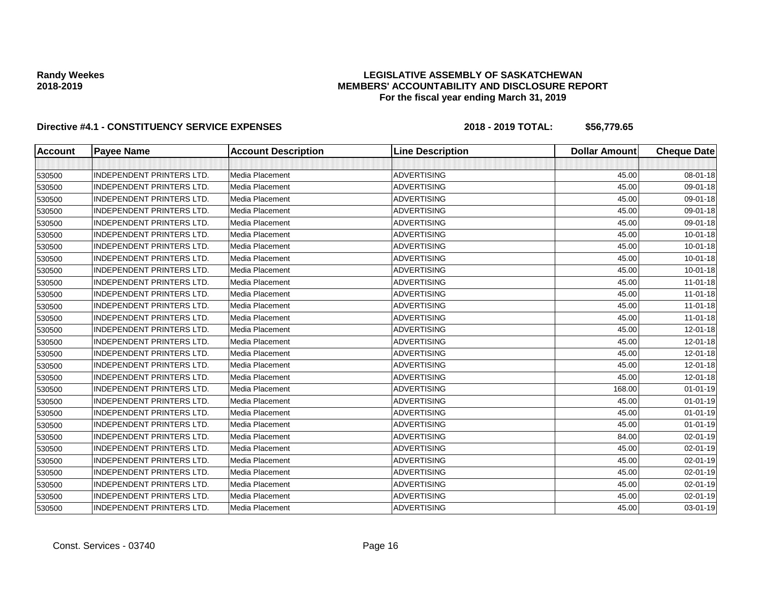## **LEGISLATIVE ASSEMBLY OF SASKATCHEWAN MEMBERS' ACCOUNTABILITY AND DISCLOSURE REPORT For the fiscal year ending March 31, 2019**

| <b>Account</b> | <b>Payee Name</b>                | <b>Account Description</b> | <b>Line Description</b> | <b>Dollar Amount</b> | <b>Cheque Date</b> |
|----------------|----------------------------------|----------------------------|-------------------------|----------------------|--------------------|
|                |                                  |                            |                         |                      |                    |
| 530500         | <b>INDEPENDENT PRINTERS LTD.</b> | Media Placement            | <b>ADVERTISING</b>      | 45.00                | 08-01-18           |
| 530500         | <b>INDEPENDENT PRINTERS LTD.</b> | Media Placement            | <b>ADVERTISING</b>      | 45.00                | 09-01-18           |
| 530500         | <b>INDEPENDENT PRINTERS LTD.</b> | Media Placement            | <b>ADVERTISING</b>      | 45.00                | 09-01-18           |
| 530500         | <b>INDEPENDENT PRINTERS LTD.</b> | Media Placement            | <b>ADVERTISING</b>      | 45.00                | 09-01-18           |
| 530500         | <b>INDEPENDENT PRINTERS LTD.</b> | Media Placement            | <b>ADVERTISING</b>      | 45.00                | 09-01-18           |
| 530500         | <b>INDEPENDENT PRINTERS LTD.</b> | Media Placement            | <b>ADVERTISING</b>      | 45.00                | $10 - 01 - 18$     |
| 530500         | <b>INDEPENDENT PRINTERS LTD.</b> | Media Placement            | <b>ADVERTISING</b>      | 45.00                | $10 - 01 - 18$     |
| 530500         | <b>INDEPENDENT PRINTERS LTD.</b> | Media Placement            | <b>ADVERTISING</b>      | 45.00                | $10 - 01 - 18$     |
| 530500         | <b>INDEPENDENT PRINTERS LTD.</b> | Media Placement            | <b>ADVERTISING</b>      | 45.00                | $10 - 01 - 18$     |
| 530500         | <b>INDEPENDENT PRINTERS LTD.</b> | Media Placement            | <b>ADVERTISING</b>      | 45.00                | $11-01-18$         |
| 530500         | <b>INDEPENDENT PRINTERS LTD.</b> | Media Placement            | <b>ADVERTISING</b>      | 45.00                | $11-01-18$         |
| 530500         | <b>INDEPENDENT PRINTERS LTD.</b> | Media Placement            | <b>ADVERTISING</b>      | 45.00                | $11-01-18$         |
| 530500         | <b>INDEPENDENT PRINTERS LTD.</b> | Media Placement            | <b>ADVERTISING</b>      | 45.00                | $11-01-18$         |
| 530500         | <b>INDEPENDENT PRINTERS LTD.</b> | Media Placement            | <b>ADVERTISING</b>      | 45.00                | 12-01-18           |
| 530500         | <b>INDEPENDENT PRINTERS LTD.</b> | Media Placement            | <b>ADVERTISING</b>      | 45.00                | 12-01-18           |
| 530500         | <b>INDEPENDENT PRINTERS LTD.</b> | Media Placement            | <b>ADVERTISING</b>      | 45.00                | 12-01-18           |
| 530500         | <b>INDEPENDENT PRINTERS LTD.</b> | Media Placement            | <b>ADVERTISING</b>      | 45.00                | 12-01-18           |
| 530500         | <b>INDEPENDENT PRINTERS LTD.</b> | Media Placement            | <b>ADVERTISING</b>      | 45.00                | 12-01-18           |
| 530500         | <b>INDEPENDENT PRINTERS LTD.</b> | Media Placement            | <b>ADVERTISING</b>      | 168.00               | $01 - 01 - 19$     |
| 530500         | <b>INDEPENDENT PRINTERS LTD.</b> | Media Placement            | <b>ADVERTISING</b>      | 45.00                | $01 - 01 - 19$     |
| 530500         | <b>INDEPENDENT PRINTERS LTD.</b> | Media Placement            | <b>ADVERTISING</b>      | 45.00                | $01 - 01 - 19$     |
| 530500         | <b>INDEPENDENT PRINTERS LTD.</b> | Media Placement            | <b>ADVERTISING</b>      | 45.00                | $01 - 01 - 19$     |
| 530500         | <b>INDEPENDENT PRINTERS LTD.</b> | Media Placement            | <b>ADVERTISING</b>      | 84.00                | 02-01-19           |
| 530500         | <b>INDEPENDENT PRINTERS LTD.</b> | Media Placement            | <b>ADVERTISING</b>      | 45.00                | 02-01-19           |
| 530500         | INDEPENDENT PRINTERS LTD.        | Media Placement            | <b>ADVERTISING</b>      | 45.00                | 02-01-19           |
| 530500         | <b>INDEPENDENT PRINTERS LTD.</b> | Media Placement            | <b>ADVERTISING</b>      | 45.00                | 02-01-19           |
| 530500         | <b>INDEPENDENT PRINTERS LTD.</b> | Media Placement            | <b>ADVERTISING</b>      | 45.00                | 02-01-19           |
| 530500         | <b>INDEPENDENT PRINTERS LTD.</b> | Media Placement            | <b>ADVERTISING</b>      | 45.00                | 02-01-19           |
| 530500         | <b>INDEPENDENT PRINTERS LTD.</b> | Media Placement            | <b>ADVERTISING</b>      | 45.00                | 03-01-19           |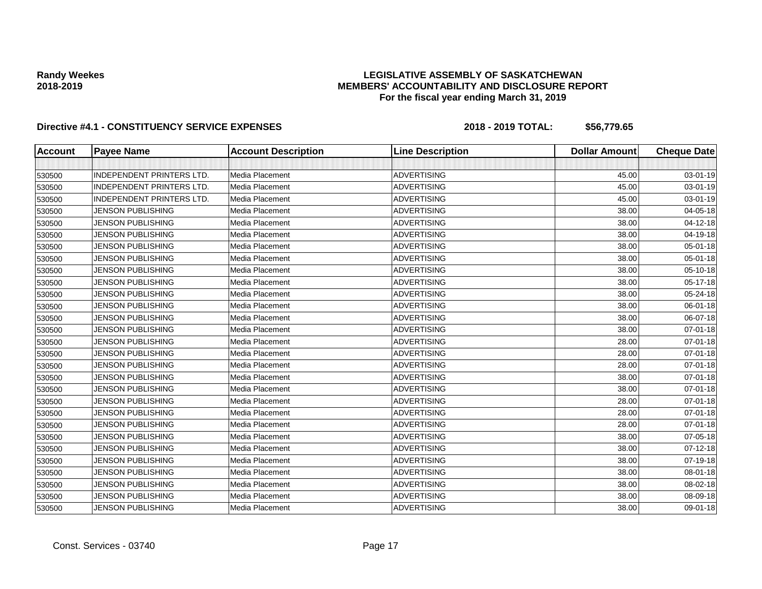## **LEGISLATIVE ASSEMBLY OF SASKATCHEWAN MEMBERS' ACCOUNTABILITY AND DISCLOSURE REPORT For the fiscal year ending March 31, 2019**

| <b>Account</b> | <b>Payee Name</b>                | <b>Account Description</b> | <b>Line Description</b> | <b>Dollar Amount</b> | <b>Cheque Date</b> |
|----------------|----------------------------------|----------------------------|-------------------------|----------------------|--------------------|
|                |                                  |                            |                         |                      |                    |
| 530500         | <b>INDEPENDENT PRINTERS LTD.</b> | Media Placement            | <b>ADVERTISING</b>      | 45.00                | 03-01-19           |
| 530500         | <b>INDEPENDENT PRINTERS LTD.</b> | Media Placement            | <b>ADVERTISING</b>      | 45.00                | 03-01-19           |
| 530500         | <b>INDEPENDENT PRINTERS LTD.</b> | Media Placement            | <b>ADVERTISING</b>      | 45.00                | 03-01-19           |
| 530500         | <b>JENSON PUBLISHING</b>         | Media Placement            | <b>ADVERTISING</b>      | 38.00                | 04-05-18           |
| 530500         | <b>JENSON PUBLISHING</b>         | Media Placement            | <b>ADVERTISING</b>      | 38.00                | 04-12-18           |
| 530500         | <b>JENSON PUBLISHING</b>         | Media Placement            | <b>ADVERTISING</b>      | 38.00                | 04-19-18           |
| 530500         | <b>JENSON PUBLISHING</b>         | Media Placement            | <b>ADVERTISING</b>      | 38.00                | 05-01-18           |
| 530500         | <b>JENSON PUBLISHING</b>         | Media Placement            | <b>ADVERTISING</b>      | 38.00                | 05-01-18           |
| 530500         | <b>JENSON PUBLISHING</b>         | Media Placement            | <b>ADVERTISING</b>      | 38.00                | 05-10-18           |
| 530500         | JENSON PUBLISHING                | Media Placement            | <b>ADVERTISING</b>      | 38.00                | 05-17-18           |
| 530500         | <b>JENSON PUBLISHING</b>         | Media Placement            | <b>ADVERTISING</b>      | 38.00                | 05-24-18           |
| 530500         | <b>JENSON PUBLISHING</b>         | Media Placement            | <b>ADVERTISING</b>      | 38.00                | 06-01-18           |
| 530500         | <b>JENSON PUBLISHING</b>         | Media Placement            | <b>ADVERTISING</b>      | 38.00                | 06-07-18           |
| 530500         | <b>JENSON PUBLISHING</b>         | <b>Media Placement</b>     | <b>ADVERTISING</b>      | 38.00                | 07-01-18           |
| 530500         | <b>JENSON PUBLISHING</b>         | Media Placement            | <b>ADVERTISING</b>      | 28.00                | $07 - 01 - 18$     |
| 530500         | <b>JENSON PUBLISHING</b>         | Media Placement            | <b>ADVERTISING</b>      | 28.00                | 07-01-18           |
| 530500         | <b>JENSON PUBLISHING</b>         | Media Placement            | <b>ADVERTISING</b>      | 28.00                | 07-01-18           |
| 530500         | <b>JENSON PUBLISHING</b>         | Media Placement            | <b>ADVERTISING</b>      | 38.00                | 07-01-18           |
| 530500         | <b>JENSON PUBLISHING</b>         | Media Placement            | <b>ADVERTISING</b>      | 38.00                | 07-01-18           |
| 530500         | <b>JENSON PUBLISHING</b>         | Media Placement            | <b>ADVERTISING</b>      | 28.00                | 07-01-18           |
| 530500         | <b>JENSON PUBLISHING</b>         | Media Placement            | <b>ADVERTISING</b>      | 28.00                | 07-01-18           |
| 530500         | <b>JENSON PUBLISHING</b>         | Media Placement            | <b>ADVERTISING</b>      | 28.00                | $07 - 01 - 18$     |
| 530500         | JENSON PUBLISHING                | Media Placement            | <b>ADVERTISING</b>      | 38.00                | 07-05-18           |
| 530500         | <b>JENSON PUBLISHING</b>         | Media Placement            | <b>ADVERTISING</b>      | 38.00                | 07-12-18           |
| 530500         | <b>JENSON PUBLISHING</b>         | Media Placement            | <b>ADVERTISING</b>      | 38.00                | 07-19-18           |
| 530500         | <b>JENSON PUBLISHING</b>         | Media Placement            | <b>ADVERTISING</b>      | 38.00                | 08-01-18           |
| 530500         | <b>JENSON PUBLISHING</b>         | Media Placement            | <b>ADVERTISING</b>      | 38.00                | 08-02-18           |
| 530500         | <b>JENSON PUBLISHING</b>         | Media Placement            | <b>ADVERTISING</b>      | 38.00                | 08-09-18           |
| 530500         | <b>JENSON PUBLISHING</b>         | Media Placement            | <b>ADVERTISING</b>      | 38.00                | 09-01-18           |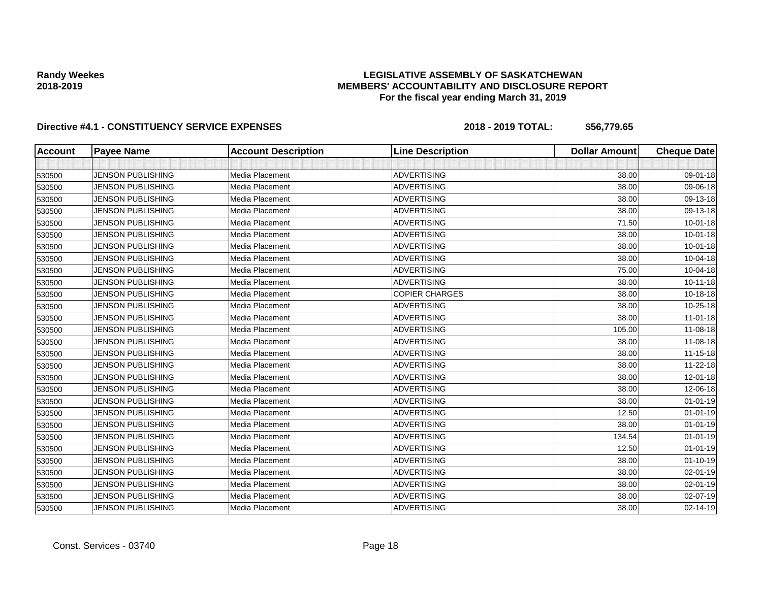## **LEGISLATIVE ASSEMBLY OF SASKATCHEWAN MEMBERS' ACCOUNTABILITY AND DISCLOSURE REPORT For the fiscal year ending March 31, 2019**

| <b>Account</b> | <b>Payee Name</b>        | <b>Account Description</b> | <b>Line Description</b> | <b>Dollar Amount</b> | <b>Cheque Date</b> |
|----------------|--------------------------|----------------------------|-------------------------|----------------------|--------------------|
|                |                          |                            |                         |                      |                    |
| 530500         | <b>JENSON PUBLISHING</b> | Media Placement            | <b>ADVERTISING</b>      | 38.00                | 09-01-18           |
| 530500         | <b>JENSON PUBLISHING</b> | Media Placement            | <b>ADVERTISING</b>      | 38.00                | 09-06-18           |
| 530500         | <b>JENSON PUBLISHING</b> | Media Placement            | <b>ADVERTISING</b>      | 38.00                | 09-13-18           |
| 530500         | <b>JENSON PUBLISHING</b> | Media Placement            | <b>ADVERTISING</b>      | 38.00                | 09-13-18           |
| 530500         | <b>JENSON PUBLISHING</b> | Media Placement            | <b>ADVERTISING</b>      | 71.50                | $10 - 01 - 18$     |
| 530500         | <b>JENSON PUBLISHING</b> | Media Placement            | <b>ADVERTISING</b>      | 38.00                | $10 - 01 - 18$     |
| 530500         | <b>JENSON PUBLISHING</b> | Media Placement            | <b>ADVERTISING</b>      | 38.00                | $10 - 01 - 18$     |
| 530500         | <b>JENSON PUBLISHING</b> | Media Placement            | <b>ADVERTISING</b>      | 38.00                | 10-04-18           |
| 530500         | <b>JENSON PUBLISHING</b> | Media Placement            | <b>ADVERTISING</b>      | 75.00                | 10-04-18           |
| 530500         | <b>JENSON PUBLISHING</b> | Media Placement            | <b>ADVERTISING</b>      | 38.00                | $10 - 11 - 18$     |
| 530500         | <b>JENSON PUBLISHING</b> | Media Placement            | <b>COPIER CHARGES</b>   | 38.00                | 10-18-18           |
| 530500         | <b>JENSON PUBLISHING</b> | Media Placement            | <b>ADVERTISING</b>      | 38.00                | 10-25-18           |
| 530500         | <b>JENSON PUBLISHING</b> | Media Placement            | <b>ADVERTISING</b>      | 38.00                | $11 - 01 - 18$     |
| 530500         | <b>JENSON PUBLISHING</b> | Media Placement            | ADVERTISING             | 105.00               | 11-08-18           |
| 530500         | <b>JENSON PUBLISHING</b> | Media Placement            | <b>ADVERTISING</b>      | 38.00                | 11-08-18           |
| 530500         | <b>JENSON PUBLISHING</b> | Media Placement            | <b>ADVERTISING</b>      | 38.00                | 11-15-18           |
| 530500         | <b>JENSON PUBLISHING</b> | Media Placement            | <b>ADVERTISING</b>      | 38.00                | 11-22-18           |
| 530500         | <b>JENSON PUBLISHING</b> | Media Placement            | <b>ADVERTISING</b>      | 38.00                | 12-01-18           |
| 530500         | <b>JENSON PUBLISHING</b> | Media Placement            | ADVERTISING             | 38.00                | 12-06-18           |
| 530500         | <b>JENSON PUBLISHING</b> | Media Placement            | <b>ADVERTISING</b>      | 38.00                | $01 - 01 - 19$     |
| 530500         | <b>JENSON PUBLISHING</b> | Media Placement            | <b>ADVERTISING</b>      | 12.50                | $01 - 01 - 19$     |
| 530500         | <b>JENSON PUBLISHING</b> | Media Placement            | <b>ADVERTISING</b>      | 38.00                | $01 - 01 - 19$     |
| 530500         | <b>JENSON PUBLISHING</b> | Media Placement            | <b>ADVERTISING</b>      | 134.54               | $01 - 01 - 19$     |
| 530500         | <b>JENSON PUBLISHING</b> | Media Placement            | <b>ADVERTISING</b>      | 12.50                | $01 - 01 - 19$     |
| 530500         | <b>JENSON PUBLISHING</b> | Media Placement            | <b>ADVERTISING</b>      | 38.00                | $01 - 10 - 19$     |
| 530500         | <b>JENSON PUBLISHING</b> | Media Placement            | <b>ADVERTISING</b>      | 38.00                | 02-01-19           |
| 530500         | <b>JENSON PUBLISHING</b> | Media Placement            | ADVERTISING             | 38.00                | 02-01-19           |
| 530500         | <b>JENSON PUBLISHING</b> | Media Placement            | <b>ADVERTISING</b>      | 38.00                | 02-07-19           |
| 530500         | <b>JENSON PUBLISHING</b> | Media Placement            | <b>ADVERTISING</b>      | 38.00                | 02-14-19           |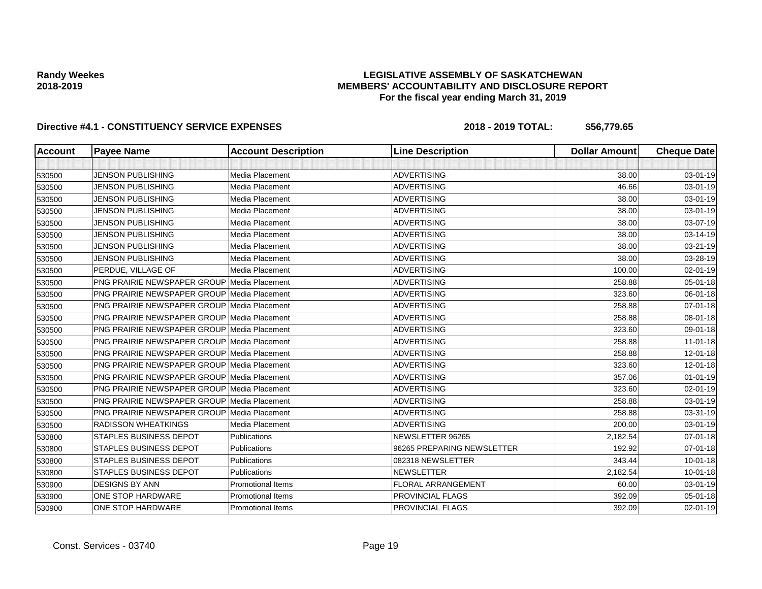## **LEGISLATIVE ASSEMBLY OF SASKATCHEWAN MEMBERS' ACCOUNTABILITY AND DISCLOSURE REPORT For the fiscal year ending March 31, 2019**

| <b>Account</b> | <b>Payee Name</b>                                  | <b>Account Description</b> | <b>Line Description</b>    | <b>Dollar Amount</b> | <b>Cheque Date</b> |
|----------------|----------------------------------------------------|----------------------------|----------------------------|----------------------|--------------------|
|                |                                                    |                            |                            |                      |                    |
| 530500         | <b>JENSON PUBLISHING</b>                           | Media Placement            | <b>ADVERTISING</b>         | 38.00                | 03-01-19           |
| 530500         | <b>JENSON PUBLISHING</b>                           | Media Placement            | <b>ADVERTISING</b>         | 46.66                | 03-01-19           |
| 530500         | <b>JENSON PUBLISHING</b>                           | Media Placement            | <b>ADVERTISING</b>         | 38.00                | 03-01-19           |
| 530500         | <b>JENSON PUBLISHING</b>                           | Media Placement            | <b>ADVERTISING</b>         | 38.00                | 03-01-19           |
| 530500         | <b>JENSON PUBLISHING</b>                           | Media Placement            | <b>ADVERTISING</b>         | 38.00                | 03-07-19           |
| 530500         | <b>JENSON PUBLISHING</b>                           | Media Placement            | <b>ADVERTISING</b>         | 38.00                | 03-14-19           |
| 530500         | <b>JENSON PUBLISHING</b>                           | Media Placement            | <b>ADVERTISING</b>         | 38.00                | 03-21-19           |
| 530500         | <b>JENSON PUBLISHING</b>                           | Media Placement            | <b>ADVERTISING</b>         | 38.00                | 03-28-19           |
| 530500         | PERDUE, VILLAGE OF                                 | Media Placement            | <b>ADVERTISING</b>         | 100.00               | 02-01-19           |
| 530500         | <b>PNG PRAIRIE NEWSPAPER GROUP Media Placement</b> |                            | <b>ADVERTISING</b>         | 258.88               | 05-01-18           |
| 530500         | <b>PNG PRAIRIE NEWSPAPER GROUP Media Placement</b> |                            | <b>ADVERTISING</b>         | 323.60               | 06-01-18           |
| 530500         | <b>PNG PRAIRIE NEWSPAPER GROUP Media Placement</b> |                            | <b>ADVERTISING</b>         | 258.88               | 07-01-18           |
| 530500         | <b>PNG PRAIRIE NEWSPAPER GROUP Media Placement</b> |                            | <b>ADVERTISING</b>         | 258.88               | 08-01-18           |
| 530500         | <b>PNG PRAIRIE NEWSPAPER GROUP Media Placement</b> |                            | <b>ADVERTISING</b>         | 323.60               | 09-01-18           |
| 530500         | <b>PNG PRAIRIE NEWSPAPER GROUP Media Placement</b> |                            | <b>ADVERTISING</b>         | 258.88               | $11 - 01 - 18$     |
| 530500         | <b>PNG PRAIRIE NEWSPAPER GROUP Media Placement</b> |                            | <b>ADVERTISING</b>         | 258.88               | $12 - 01 - 18$     |
| 530500         | <b>PNG PRAIRIE NEWSPAPER GROUP Media Placement</b> |                            | <b>ADVERTISING</b>         | 323.60               | $12 - 01 - 18$     |
| 530500         | <b>PNG PRAIRIE NEWSPAPER GROUP Media Placement</b> |                            | <b>ADVERTISING</b>         | 357.06               | $01 - 01 - 19$     |
| 530500         | <b>PNG PRAIRIE NEWSPAPER GROUP Media Placement</b> |                            | <b>ADVERTISING</b>         | 323.60               | $02 - 01 - 19$     |
| 530500         | <b>PNG PRAIRIE NEWSPAPER GROUP Media Placement</b> |                            | <b>ADVERTISING</b>         | 258.88               | 03-01-19           |
| 530500         | PNG PRAIRIE NEWSPAPER GROUP Media Placement        |                            | <b>ADVERTISING</b>         | 258.88               | 03-31-19           |
| 530500         | <b>RADISSON WHEATKINGS</b>                         | Media Placement            | <b>ADVERTISING</b>         | 200.00               | 03-01-19           |
| 530800         | <b>STAPLES BUSINESS DEPOT</b>                      | Publications               | NEWSLETTER 96265           | 2,182.54             | $07 - 01 - 18$     |
| 530800         | <b>STAPLES BUSINESS DEPOT</b>                      | <b>Publications</b>        | 96265 PREPARING NEWSLETTER | 192.92               | $07 - 01 - 18$     |
| 530800         | <b>STAPLES BUSINESS DEPOT</b>                      | Publications               | 082318 NEWSLETTER          | 343.44               | $10 - 01 - 18$     |
| 530800         | <b>STAPLES BUSINESS DEPOT</b>                      | <b>Publications</b>        | <b>NEWSLETTER</b>          | 2,182.54             | $10 - 01 - 18$     |
| 530900         | <b>DESIGNS BY ANN</b>                              | <b>Promotional Items</b>   | <b>FLORAL ARRANGEMENT</b>  | 60.00                | 03-01-19           |
| 530900         | ONE STOP HARDWARE                                  | <b>Promotional Items</b>   | PROVINCIAL FLAGS           | 392.09               | $05 - 01 - 18$     |
| 530900         | ONE STOP HARDWARE                                  | <b>Promotional Items</b>   | <b>PROVINCIAL FLAGS</b>    | 392.09               | 02-01-19           |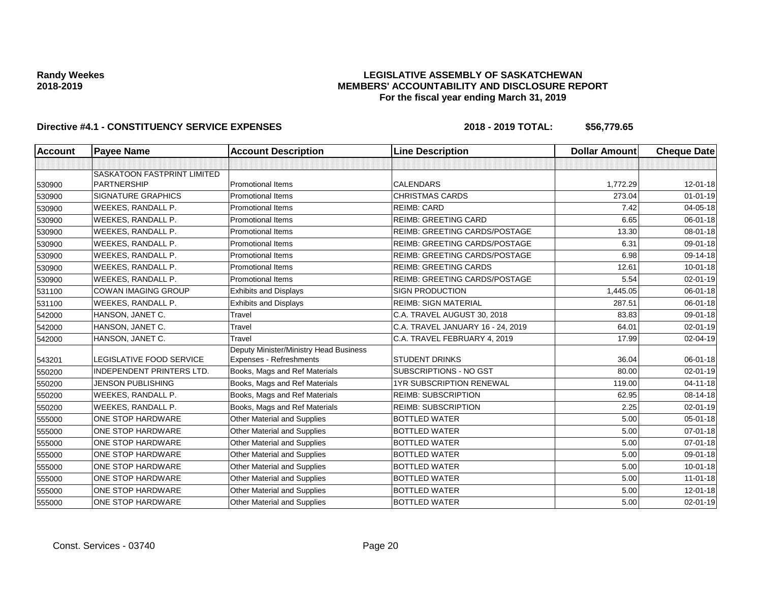## **LEGISLATIVE ASSEMBLY OF SASKATCHEWAN MEMBERS' ACCOUNTABILITY AND DISCLOSURE REPORT For the fiscal year ending March 31, 2019**

| Account | <b>Payee Name</b>                  | <b>Account Description</b>             | <b>Line Description</b>              | <b>Dollar Amount</b> | <b>Cheque Date</b> |
|---------|------------------------------------|----------------------------------------|--------------------------------------|----------------------|--------------------|
|         |                                    |                                        |                                      |                      |                    |
|         | <b>SASKATOON FASTPRINT LIMITED</b> |                                        |                                      |                      |                    |
| 530900  | <b>PARTNERSHIP</b>                 | <b>Promotional Items</b>               | <b>CALENDARS</b>                     | 1,772.29             | 12-01-18           |
| 530900  | <b>SIGNATURE GRAPHICS</b>          | <b>Promotional Items</b>               | <b>CHRISTMAS CARDS</b>               | 273.04               | $01 - 01 - 19$     |
| 530900  | WEEKES, RANDALL P.                 | <b>Promotional Items</b>               | <b>REIMB: CARD</b>                   | 7.42                 | 04-05-18           |
| 530900  | WEEKES, RANDALL P.                 | <b>Promotional Items</b>               | <b>REIMB: GREETING CARD</b>          | 6.65                 | 06-01-18           |
| 530900  | WEEKES, RANDALL P.                 | <b>Promotional Items</b>               | REIMB: GREETING CARDS/POSTAGE        | 13.30                | 08-01-18           |
| 530900  | WEEKES, RANDALL P.                 | Promotional Items                      | <b>REIMB: GREETING CARDS/POSTAGE</b> | 6.31                 | 09-01-18           |
| 530900  | WEEKES, RANDALL P.                 | <b>Promotional Items</b>               | <b>REIMB: GREETING CARDS/POSTAGE</b> | 6.98                 | 09-14-18           |
| 530900  | <b>WEEKES, RANDALL P.</b>          | <b>Promotional Items</b>               | <b>REIMB: GREETING CARDS</b>         | 12.61                | $10 - 01 - 18$     |
| 530900  | WEEKES, RANDALL P.                 | <b>Promotional Items</b>               | REIMB: GREETING CARDS/POSTAGE        | 5.54                 | 02-01-19           |
| 531100  | <b>COWAN IMAGING GROUP</b>         | <b>Exhibits and Displays</b>           | <b>SIGN PRODUCTION</b>               | 1,445.05             | 06-01-18           |
| 531100  | WEEKES, RANDALL P.                 | <b>Exhibits and Displays</b>           | <b>REIMB: SIGN MATERIAL</b>          | 287.51               | 06-01-18           |
| 542000  | HANSON, JANET C.                   | Travel                                 | C.A. TRAVEL AUGUST 30, 2018          | 83.83                | 09-01-18           |
| 542000  | HANSON, JANET C.                   | Travel                                 | C.A. TRAVEL JANUARY 16 - 24, 2019    | 64.01                | 02-01-19           |
| 542000  | HANSON, JANET C.                   | Travel                                 | C.A. TRAVEL FEBRUARY 4, 2019         | 17.99                | 02-04-19           |
|         |                                    | Deputy Minister/Ministry Head Business |                                      |                      |                    |
| 543201  | LEGISLATIVE FOOD SERVICE           | Expenses - Refreshments                | <b>STUDENT DRINKS</b>                | 36.04                | 06-01-18           |
| 550200  | <b>INDEPENDENT PRINTERS LTD.</b>   | Books, Mags and Ref Materials          | SUBSCRIPTIONS - NO GST               | 80.00                | 02-01-19           |
| 550200  | <b>JENSON PUBLISHING</b>           | Books, Mags and Ref Materials          | <b>1YR SUBSCRIPTION RENEWAL</b>      | 119.00               | $04 - 11 - 18$     |
| 550200  | WEEKES, RANDALL P.                 | Books, Mags and Ref Materials          | <b>REIMB: SUBSCRIPTION</b>           | 62.95                | 08-14-18           |
| 550200  | WEEKES, RANDALL P.                 | Books, Mags and Ref Materials          | <b>REIMB: SUBSCRIPTION</b>           | 2.25                 | 02-01-19           |
| 555000  | <b>ONE STOP HARDWARE</b>           | Other Material and Supplies            | <b>BOTTLED WATER</b>                 | 5.00                 | $05 - 01 - 18$     |
| 555000  | ONE STOP HARDWARE                  | <b>Other Material and Supplies</b>     | <b>BOTTLED WATER</b>                 | 5.00                 | $07 - 01 - 18$     |
| 555000  | ONE STOP HARDWARE                  | <b>Other Material and Supplies</b>     | <b>BOTTLED WATER</b>                 | 5.00                 | $07 - 01 - 18$     |
| 555000  | <b>ONE STOP HARDWARE</b>           | Other Material and Supplies            | <b>BOTTLED WATER</b>                 | 5.00                 | 09-01-18           |
| 555000  | <b>ONE STOP HARDWARE</b>           | Other Material and Supplies            | <b>BOTTLED WATER</b>                 | 5.00                 | $10 - 01 - 18$     |
| 555000  | <b>ONE STOP HARDWARE</b>           | Other Material and Supplies            | <b>BOTTLED WATER</b>                 | 5.00                 | $11 - 01 - 18$     |
| 555000  | ONE STOP HARDWARE                  | Other Material and Supplies            | <b>BOTTLED WATER</b>                 | 5.00                 | 12-01-18           |
| 555000  | ONE STOP HARDWARE                  | Other Material and Supplies            | <b>BOTTLED WATER</b>                 | 5.00                 | $02 - 01 - 19$     |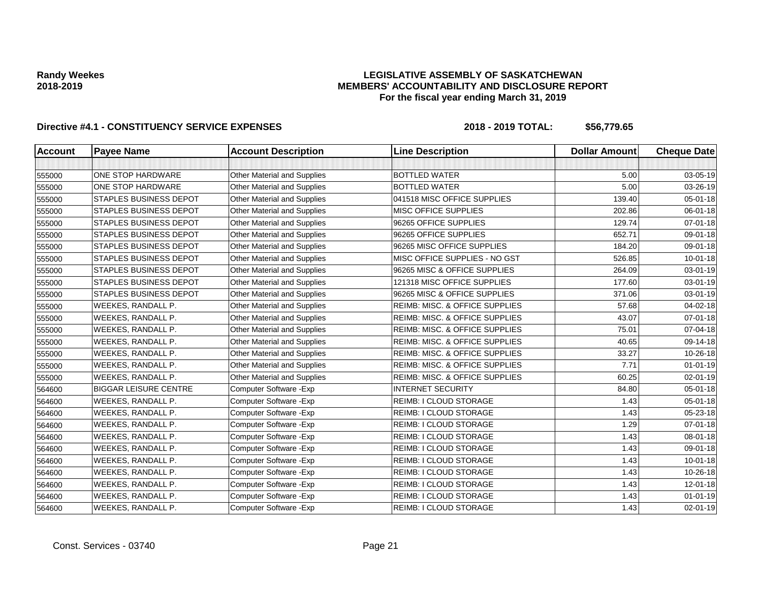## **LEGISLATIVE ASSEMBLY OF SASKATCHEWAN MEMBERS' ACCOUNTABILITY AND DISCLOSURE REPORT For the fiscal year ending March 31, 2019**

| <b>Account</b> | <b>Payee Name</b>             | <b>Account Description</b>         | <b>Line Description</b>                   | <b>Dollar Amount</b> | <b>Cheque Date</b> |
|----------------|-------------------------------|------------------------------------|-------------------------------------------|----------------------|--------------------|
|                |                               |                                    |                                           |                      |                    |
| 555000         | <b>ONE STOP HARDWARE</b>      | Other Material and Supplies        | <b>BOTTLED WATER</b>                      | 5.00                 | 03-05-19           |
| 555000         | <b>ONE STOP HARDWARE</b>      | Other Material and Supplies        | <b>BOTTLED WATER</b>                      | 5.00                 | 03-26-19           |
| 555000         | <b>STAPLES BUSINESS DEPOT</b> | Other Material and Supplies        | 041518 MISC OFFICE SUPPLIES               | 139.40               | 05-01-18           |
| 555000         | <b>STAPLES BUSINESS DEPOT</b> | Other Material and Supplies        | MISC OFFICE SUPPLIES                      | 202.86               | 06-01-18           |
| 555000         | <b>STAPLES BUSINESS DEPOT</b> | Other Material and Supplies        | 96265 OFFICE SUPPLIES                     | 129.74               | $07 - 01 - 18$     |
| 555000         | <b>STAPLES BUSINESS DEPOT</b> | Other Material and Supplies        | 96265 OFFICE SUPPLIES                     | 652.71               | 09-01-18           |
| 555000         | <b>STAPLES BUSINESS DEPOT</b> | Other Material and Supplies        | 96265 MISC OFFICE SUPPLIES                | 184.20               | 09-01-18           |
| 555000         | <b>STAPLES BUSINESS DEPOT</b> | Other Material and Supplies        | MISC OFFICE SUPPLIES - NO GST             | 526.85               | $10 - 01 - 18$     |
| 555000         | <b>STAPLES BUSINESS DEPOT</b> | Other Material and Supplies        | 96265 MISC & OFFICE SUPPLIES              | 264.09               | 03-01-19           |
| 555000         | <b>STAPLES BUSINESS DEPOT</b> | Other Material and Supplies        | 121318 MISC OFFICE SUPPLIES               | 177.60               | 03-01-19           |
| 555000         | <b>STAPLES BUSINESS DEPOT</b> | Other Material and Supplies        | 96265 MISC & OFFICE SUPPLIES              | 371.06               | 03-01-19           |
| 555000         | WEEKES, RANDALL P.            | Other Material and Supplies        | REIMB: MISC. & OFFICE SUPPLIES            | 57.68                | $04 - 02 - 18$     |
| 555000         | WEEKES, RANDALL P.            | <b>Other Material and Supplies</b> | <b>REIMB: MISC. &amp; OFFICE SUPPLIES</b> | 43.07                | $07 - 01 - 18$     |
| 555000         | WEEKES, RANDALL P.            | Other Material and Supplies        | REIMB: MISC. & OFFICE SUPPLIES            | 75.01                | 07-04-18           |
| 555000         | WEEKES, RANDALL P.            | Other Material and Supplies        | REIMB: MISC. & OFFICE SUPPLIES            | 40.65                | 09-14-18           |
| 555000         | WEEKES, RANDALL P.            | Other Material and Supplies        | REIMB: MISC. & OFFICE SUPPLIES            | 33.27                | 10-26-18           |
| 555000         | WEEKES, RANDALL P.            | Other Material and Supplies        | <b>REIMB: MISC. &amp; OFFICE SUPPLIES</b> | 7.71                 | $01 - 01 - 19$     |
| 555000         | WEEKES, RANDALL P.            | Other Material and Supplies        | REIMB: MISC. & OFFICE SUPPLIES            | 60.25                | 02-01-19           |
| 564600         | <b>BIGGAR LEISURE CENTRE</b>  | Computer Software - Exp            | <b>INTERNET SECURITY</b>                  | 84.80                | $05 - 01 - 18$     |
| 564600         | WEEKES, RANDALL P.            | Computer Software - Exp            | <b>REIMB: I CLOUD STORAGE</b>             | 1.43                 | 05-01-18           |
| 564600         | WEEKES, RANDALL P.            | Computer Software - Exp            | <b>REIMB: I CLOUD STORAGE</b>             | 1.43                 | 05-23-18           |
| 564600         | WEEKES, RANDALL P.            | Computer Software - Exp            | <b>REIMB: I CLOUD STORAGE</b>             | 1.29                 | $07 - 01 - 18$     |
| 564600         | WEEKES, RANDALL P.            | Computer Software - Exp            | <b>REIMB: I CLOUD STORAGE</b>             | 1.43                 | 08-01-18           |
| 564600         | WEEKES, RANDALL P.            | Computer Software - Exp            | <b>REIMB: I CLOUD STORAGE</b>             | 1.43                 | 09-01-18           |
| 564600         | WEEKES, RANDALL P.            | <b>Computer Software - Exp</b>     | <b>REIMB: I CLOUD STORAGE</b>             | 1.43                 | $10 - 01 - 18$     |
| 564600         | WEEKES, RANDALL P.            | Computer Software - Exp            | REIMB: I CLOUD STORAGE                    | 1.43                 | 10-26-18           |
| 564600         | WEEKES, RANDALL P.            | Computer Software - Exp            | <b>REIMB: I CLOUD STORAGE</b>             | 1.43                 | $12 - 01 - 18$     |
| 564600         | WEEKES, RANDALL P.            | Computer Software - Exp            | <b>REIMB: I CLOUD STORAGE</b>             | 1.43                 | $01 - 01 - 19$     |
| 564600         | WEEKES, RANDALL P.            | Computer Software - Exp            | <b>REIMB: I CLOUD STORAGE</b>             | 1.43                 | 02-01-19           |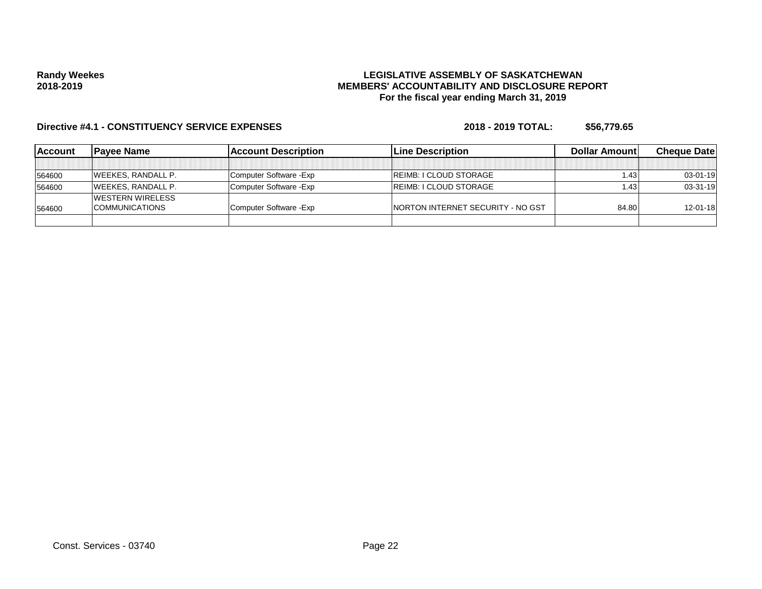## **LEGISLATIVE ASSEMBLY OF SASKATCHEWAN MEMBERS' ACCOUNTABILITY AND DISCLOSURE REPORT For the fiscal year ending March 31, 2019**

| <b>Account</b> | <b>Pavee Name</b>         | <b>Account Description</b> | <b>ILine Description</b>                 | Dollar Amount | <b>Cheque Datel</b> |
|----------------|---------------------------|----------------------------|------------------------------------------|---------------|---------------------|
|                |                           |                            |                                          |               |                     |
| 564600         | <b>WEEKES, RANDALL P.</b> | Computer Software - Exp    | <b>IREIMB: I CLOUD STORAGE</b>           | .43           | $03 - 01 - 19$      |
| 564600         | <b>WEEKES, RANDALL P.</b> | Computer Software - Exp    | <b>REIMB: I CLOUD STORAGE</b>            | 1.43          | $03-31-19$          |
|                | <b>IWESTERN WIRELESS</b>  |                            |                                          |               |                     |
| 564600         | <b>COMMUNICATIONS</b>     | Computer Software - Exp    | <b>NORTON INTERNET SECURITY - NO GST</b> | 84.80         | $12 - 01 - 18$      |
|                |                           |                            |                                          |               |                     |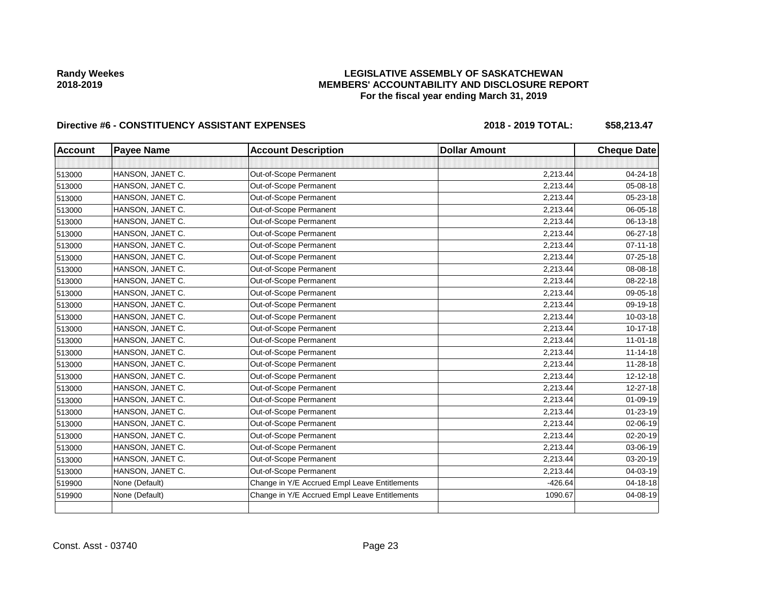## **LEGISLATIVE ASSEMBLY OF SASKATCHEWAN MEMBERS' ACCOUNTABILITY AND DISCLOSURE REPORT For the fiscal year ending March 31, 2019**

| <b>Account</b> | <b>Payee Name</b> | <b>Account Description</b>                    | <b>Dollar Amount</b> | <b>Cheque Date</b> |
|----------------|-------------------|-----------------------------------------------|----------------------|--------------------|
|                |                   |                                               |                      |                    |
| 513000         | HANSON, JANET C.  | Out-of-Scope Permanent                        | 2,213.44             | 04-24-18           |
| 513000         | HANSON, JANET C.  | Out-of-Scope Permanent                        | 2,213.44             | 05-08-18           |
| 513000         | HANSON, JANET C.  | Out-of-Scope Permanent                        | 2,213.44             | 05-23-18           |
| 513000         | HANSON, JANET C.  | Out-of-Scope Permanent                        | 2,213.44             | 06-05-18           |
| 513000         | HANSON, JANET C.  | Out-of-Scope Permanent                        | 2,213.44             | 06-13-18           |
| 513000         | HANSON, JANET C.  | Out-of-Scope Permanent                        | 2,213.44             | 06-27-18           |
| 513000         | HANSON, JANET C.  | Out-of-Scope Permanent                        | 2,213.44             | $07 - 11 - 18$     |
| 513000         | HANSON, JANET C.  | Out-of-Scope Permanent                        | 2,213.44             | 07-25-18           |
| 513000         | HANSON, JANET C.  | Out-of-Scope Permanent                        | 2,213.44             | 08-08-18           |
| 513000         | HANSON, JANET C.  | Out-of-Scope Permanent                        | 2,213.44             | 08-22-18           |
| 513000         | HANSON, JANET C.  | Out-of-Scope Permanent                        | 2,213.44             | 09-05-18           |
| 513000         | HANSON, JANET C.  | Out-of-Scope Permanent                        | 2,213.44             | 09-19-18           |
| 513000         | HANSON, JANET C.  | Out-of-Scope Permanent                        | 2,213.44             | 10-03-18           |
| 513000         | HANSON, JANET C.  | Out-of-Scope Permanent                        | 2,213.44             | 10-17-18           |
| 513000         | HANSON, JANET C.  | Out-of-Scope Permanent                        | 2,213.44             | $11 - 01 - 18$     |
| 513000         | HANSON, JANET C.  | Out-of-Scope Permanent                        | 2,213.44             | $11 - 14 - 18$     |
| 513000         | HANSON, JANET C.  | Out-of-Scope Permanent                        | 2,213.44             | 11-28-18           |
| 513000         | HANSON, JANET C.  | Out-of-Scope Permanent                        | 2,213.44             | 12-12-18           |
| 513000         | HANSON, JANET C.  | Out-of-Scope Permanent                        | 2,213.44             | 12-27-18           |
| 513000         | HANSON, JANET C.  | Out-of-Scope Permanent                        | 2,213.44             | 01-09-19           |
| 513000         | HANSON, JANET C.  | Out-of-Scope Permanent                        | 2,213.44             | $01 - 23 - 19$     |
| 513000         | HANSON, JANET C.  | Out-of-Scope Permanent                        | 2,213.44             | 02-06-19           |
| 513000         | HANSON, JANET C.  | Out-of-Scope Permanent                        | 2,213.44             | 02-20-19           |
| 513000         | HANSON, JANET C.  | Out-of-Scope Permanent                        | 2,213.44             | 03-06-19           |
| 513000         | HANSON, JANET C.  | Out-of-Scope Permanent                        | 2,213.44             | 03-20-19           |
| 513000         | HANSON, JANET C.  | Out-of-Scope Permanent                        | 2,213.44             | 04-03-19           |
| 519900         | None (Default)    | Change in Y/E Accrued Empl Leave Entitlements | $-426.64$            | 04-18-18           |
| 519900         | None (Default)    | Change in Y/E Accrued Empl Leave Entitlements | 1090.67              | 04-08-19           |
|                |                   |                                               |                      |                    |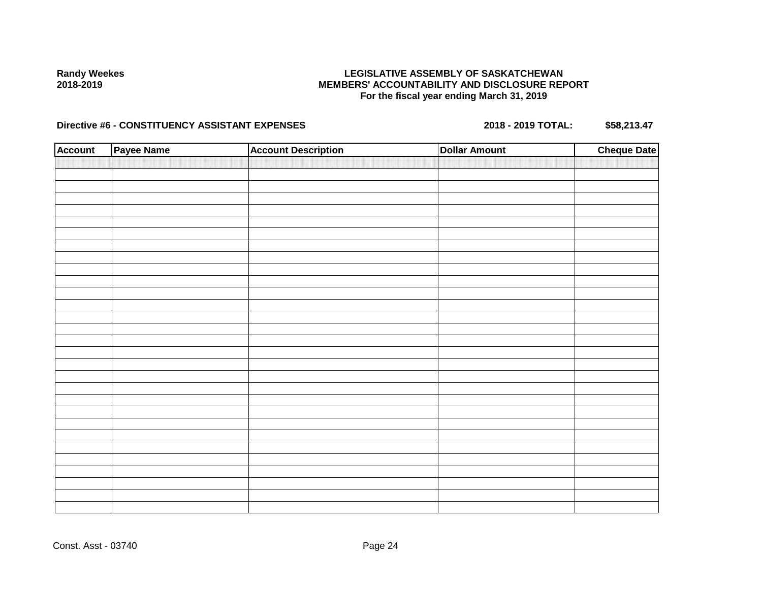## **LEGISLATIVE ASSEMBLY OF SASKATCHEWAN MEMBERS' ACCOUNTABILITY AND DISCLOSURE REPORT For the fiscal year ending March 31, 2019**

| <b>Account</b> | Payee Name | <b>Account Description</b> | <b>Dollar Amount</b> | <b>Cheque Date</b> |
|----------------|------------|----------------------------|----------------------|--------------------|
|                |            |                            |                      |                    |
|                |            |                            |                      |                    |
|                |            |                            |                      |                    |
|                |            |                            |                      |                    |
|                |            |                            |                      |                    |
|                |            |                            |                      |                    |
|                |            |                            |                      |                    |
|                |            |                            |                      |                    |
|                |            |                            |                      |                    |
|                |            |                            |                      |                    |
|                |            |                            |                      |                    |
|                |            |                            |                      |                    |
|                |            |                            |                      |                    |
|                |            |                            |                      |                    |
|                |            |                            |                      |                    |
|                |            |                            |                      |                    |
|                |            |                            |                      |                    |
|                |            |                            |                      |                    |
|                |            |                            |                      |                    |
|                |            |                            |                      |                    |
|                |            |                            |                      |                    |
|                |            |                            |                      |                    |
|                |            |                            |                      |                    |
|                |            |                            |                      |                    |
|                |            |                            |                      |                    |
|                |            |                            |                      |                    |
|                |            |                            |                      |                    |
|                |            |                            |                      |                    |
|                |            |                            |                      |                    |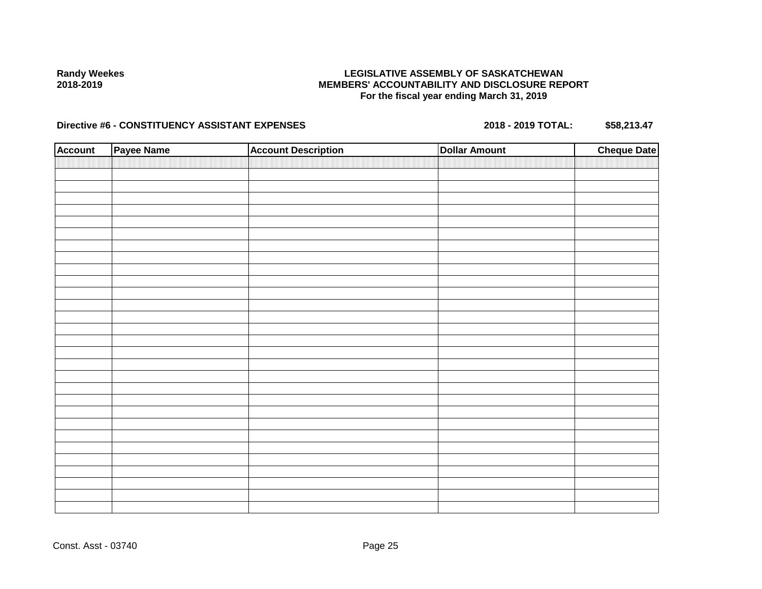## **LEGISLATIVE ASSEMBLY OF SASKATCHEWAN MEMBERS' ACCOUNTABILITY AND DISCLOSURE REPORT For the fiscal year ending March 31, 2019**

| <b>Account</b> | Payee Name | <b>Account Description</b> | <b>Dollar Amount</b> | <b>Cheque Date</b> |
|----------------|------------|----------------------------|----------------------|--------------------|
|                |            |                            |                      |                    |
|                |            |                            |                      |                    |
|                |            |                            |                      |                    |
|                |            |                            |                      |                    |
|                |            |                            |                      |                    |
|                |            |                            |                      |                    |
|                |            |                            |                      |                    |
|                |            |                            |                      |                    |
|                |            |                            |                      |                    |
|                |            |                            |                      |                    |
|                |            |                            |                      |                    |
|                |            |                            |                      |                    |
|                |            |                            |                      |                    |
|                |            |                            |                      |                    |
|                |            |                            |                      |                    |
|                |            |                            |                      |                    |
|                |            |                            |                      |                    |
|                |            |                            |                      |                    |
|                |            |                            |                      |                    |
|                |            |                            |                      |                    |
|                |            |                            |                      |                    |
|                |            |                            |                      |                    |
|                |            |                            |                      |                    |
|                |            |                            |                      |                    |
|                |            |                            |                      |                    |
|                |            |                            |                      |                    |
|                |            |                            |                      |                    |
|                |            |                            |                      |                    |
|                |            |                            |                      |                    |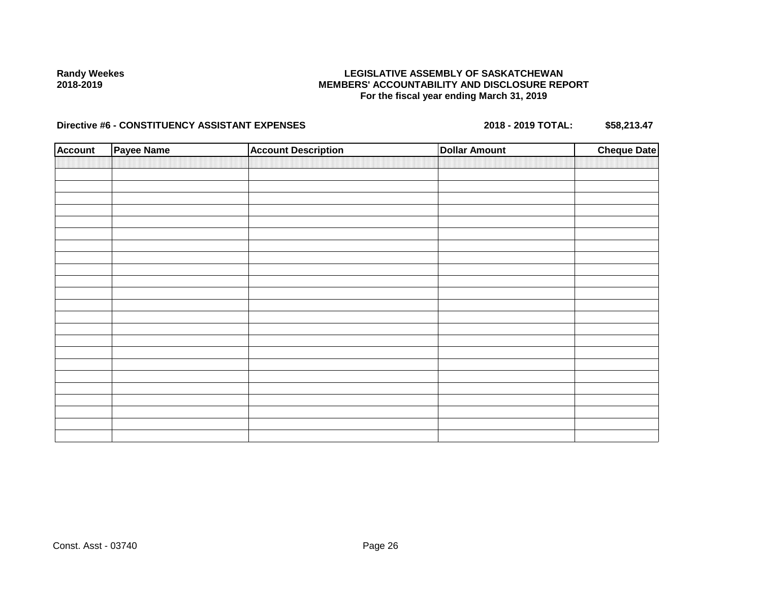## **LEGISLATIVE ASSEMBLY OF SASKATCHEWAN MEMBERS' ACCOUNTABILITY AND DISCLOSURE REPORT For the fiscal year ending March 31, 2019**

| <b>Account</b> | Payee Name | <b>Account Description</b> | <b>Dollar Amount</b> | <b>Cheque Date</b> |
|----------------|------------|----------------------------|----------------------|--------------------|
|                |            |                            |                      |                    |
|                |            |                            |                      |                    |
|                |            |                            |                      |                    |
|                |            |                            |                      |                    |
|                |            |                            |                      |                    |
|                |            |                            |                      |                    |
|                |            |                            |                      |                    |
|                |            |                            |                      |                    |
|                |            |                            |                      |                    |
|                |            |                            |                      |                    |
|                |            |                            |                      |                    |
|                |            |                            |                      |                    |
|                |            |                            |                      |                    |
|                |            |                            |                      |                    |
|                |            |                            |                      |                    |
|                |            |                            |                      |                    |
|                |            |                            |                      |                    |
|                |            |                            |                      |                    |
|                |            |                            |                      |                    |
|                |            |                            |                      |                    |
|                |            |                            |                      |                    |
|                |            |                            |                      |                    |
|                |            |                            |                      |                    |
|                |            |                            |                      |                    |